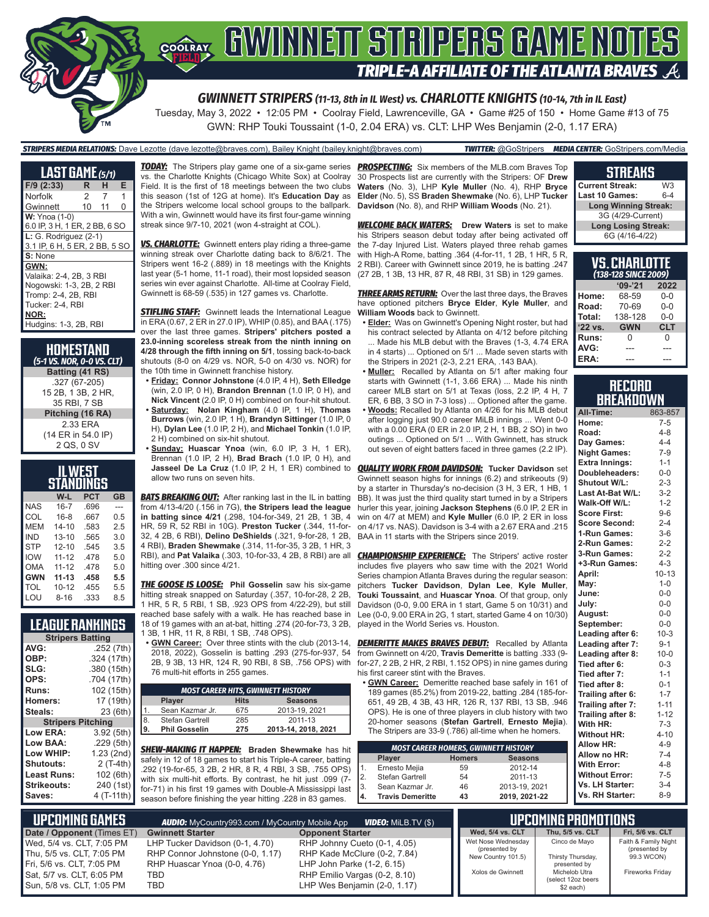

GWN: RHP Touki Toussaint (1-0, 2.04 ERA) vs. CLT: LHP Wes Benjamin (2-0, 1.17 ERA)

#### *STRIPERS MEDIA RELATIONS:* Dave Lezotte (dave.lezotte@braves.com), Bailey Knight (bailey.knight@braves.com) *TWITTER:* @GoStripers *MEDIA CENTER:* GoStripers.com/Media

| <b>LAST GAME</b> (5/1)        |       |   |   |
|-------------------------------|-------|---|---|
| $F/9$ (2:33)                  | R     | н | Е |
| Norfolk                       | 2     | 7 | 1 |
| Gwinnett                      | 10 11 |   | 0 |
| <b>W:</b> Ynoa (1-0)          |       |   |   |
| 6.0 IP, 3 H, 1 ER, 2 BB, 6 SO |       |   |   |
| $L: G.$ Rodriguez $(2-1)$     |       |   |   |
| 3.1 IP, 6 H, 5 ER, 2 BB, 5 SO |       |   |   |
| S: None                       |       |   |   |
| GWN:                          |       |   |   |
| Valaika: 2-4, 2B, 3 RBI       |       |   |   |
| Nogowski: 1-3, 2B, 2 RBI      |       |   |   |
| Tromp: 2-4, 2B, RBI           |       |   |   |
| Tucker: 2-4. RBI              |       |   |   |
| NOR:                          |       |   |   |
| Hudgins: 1-3, 2B, RBI         |       |   |   |

**HOMESTAND** *(5-1 VS. NOR, 0-0 VS. CLT)* **Batting (41 RS)** .327 (67-205) 15 2B, 1 3B, 2 HR, 35 RBI, 7 SB **Pitching (16 RA)** 2.33 ERA (14 ER in 54.0 IP) 2 QS, 0 SV

| .WEST                          |           |      |     |  |  |  |  |  |
|--------------------------------|-----------|------|-----|--|--|--|--|--|
| STANDINGS                      |           |      |     |  |  |  |  |  |
| <b>PCT</b><br>W-L<br><b>GB</b> |           |      |     |  |  |  |  |  |
| <b>NAS</b>                     | $16 - 7$  | .696 |     |  |  |  |  |  |
| COL                            | $16-8$    | .667 | 0.5 |  |  |  |  |  |
| MFM                            | $14 - 10$ | .583 | 25  |  |  |  |  |  |
| IND                            | $13 - 10$ | .565 | 3 O |  |  |  |  |  |
| <b>STP</b>                     | $12 - 10$ | .545 | 3.5 |  |  |  |  |  |
| <b>IOW</b>                     | $11 - 12$ | .478 | 5.0 |  |  |  |  |  |
| OMA                            | $11 - 12$ | .478 | 5.0 |  |  |  |  |  |
| <b>GWN</b>                     | $11 - 13$ | .458 | 5.5 |  |  |  |  |  |
| TOL                            | $10 - 12$ | .455 | 5.5 |  |  |  |  |  |
| <b>LOU</b>                     | $8 - 16$  | .333 | 8.5 |  |  |  |  |  |

### **LEAGUE RANKINGS**

|                          | <b>Stripers Batting</b> |  |  |  |  |  |
|--------------------------|-------------------------|--|--|--|--|--|
| AVG:                     | .252 (7th)              |  |  |  |  |  |
| OBP:                     | .324 (17th)             |  |  |  |  |  |
| SLG:                     | .380 (15th)             |  |  |  |  |  |
| OPS:                     | .704 (17th)             |  |  |  |  |  |
| <b>Runs:</b>             | 102 (15th)              |  |  |  |  |  |
| <b>Homers:</b>           | 17 (19th)               |  |  |  |  |  |
| Steals:                  | 23 (6th)                |  |  |  |  |  |
| <b>Stripers Pitching</b> |                         |  |  |  |  |  |
| Low ERA:                 | 3.92 (5th)              |  |  |  |  |  |
| Low BAA:                 | .229(5th)               |  |  |  |  |  |
| Low WHIP:                | 1.23 (2nd)              |  |  |  |  |  |
| Shutouts:                | $2(T-4th)$              |  |  |  |  |  |
| Least Runs:              | 102 (6th)               |  |  |  |  |  |
| Strikeouts:              | 240 (1st)               |  |  |  |  |  |
| Saves:                   | 4 (T-11th)              |  |  |  |  |  |

*TODAY:* The Stripers play game one of a six-game series *PROSPECTING:* Six members of the MLB.com Braves Top vs. the Charlotte Knights (Chicago White Sox) at Coolray Field. It is the first of 18 meetings between the two clubs this season (1st of 12G at home). It's **Education Day** as the Stripers welcome local school groups to the ballpark. With a win, Gwinnett would have its first four-game winning streak since 9/7-10, 2021 (won 4-straight at COL).

*VS. CHARLOTTE:* Gwinnett enters play riding a three-game winning streak over Charlotte dating back to 8/6/21. The Stripers went 16-2 (.889) in 18 meetings with the Knights last year (5-1 home, 11-1 road), their most lopsided season series win ever against Charlotte. All-time at Coolray Field, Gwinnett is 68-59 (.535) in 127 games vs. Charlotte.

**STIFLING STAFF:** Gwinnett leads the International League in ERA (0.67, 2 ER in 27.0 IP), WHIP (0.85), and BAA (.175) over the last three games. **Stripers' pitchers posted a 23.0-inning scoreless streak from the ninth inning on 4/28 through the fifth inning on 5/1**, tossing back-to-back shutouts (8-0 on 4/29 vs. NOR, 5-0 on 4/30 vs. NOR) for the 10th time in Gwinnett franchise history.

**• Friday: Connor Johnstone** (4.0 IP, 4 H), **Seth Elledge** (win, 2.0 IP, 0 H), **Brandon Brennan** (1.0 IP, 0 H), and **Nick Vincent** (2.0 IP, 0 H) combined on four-hit shutout. **• Saturday: Nolan Kingham** (4.0 IP, 1 H), **Thomas Burrows** (win, 2.0 IP, 1 H), **Brandyn Sittinger** (1.0 IP, 0 H), **Dylan Lee** (1.0 IP, 2 H), and **Michael Tonkin** (1.0 IP, 2 H) combined on six-hit shutout.

**• Sunday: Huascar Ynoa** (win, 6.0 IP, 3 H, 1 ER), Brennan (1.0 IP, 2 H), **Brad Brach** (1.0 IP, 0 H), and allow two runs on seven hits.

**BATS BREAKING OUT:** After ranking last in the IL in batting from 4/13-4/20 (.156 in 7G), **the Stripers lead the league in batting since 4/21** (.298, 104-for-349, 21 2B, 1 3B, 4 HR, 59 R, 52 RBI in 10G). **Preston Tucker** (.344, 11-for-32, 4 2B, 6 RBI), **Delino DeShields** (.321, 9-for-28, 1 2B, 4 RBI), **Braden Shewmake** (.314, 11-for-35, 3 2B, 1 HR, 3 RBI), and **Pat Valaika** (.303, 10-for-33, 4 2B, 8 RBI) are all hitting over .300 since 4/21.

*THE GOOSE IS LOOSE:* **Phil Gosselin** saw his six-game hitting streak snapped on Saturday (.357, 10-for-28, 2 2B, 1 HR, 5 R, 5 RBI, 1 SB, .923 OPS from 4/22-29), but still 18 of 19 games with an at-bat, hitting .274 (20-for-73, 3 2B,

1 3B, 1 HR, 11 R, 8 RBI, 1 SB, .748 OPS). **• GWN Career:** Over three stints with the club (2013-14, 2018, 2022), Gosselin is batting .293 (275-for-937, 54 2B, 9 3B, 13 HR, 124 R, 90 RBI, 8 SB, .756 OPS) with 76 multi-hit efforts in 255 games.

|            | <b>MOST CAREER HITS, GWINNETT HISTORY</b>      |     |                     |  |  |  |  |  |
|------------|------------------------------------------------|-----|---------------------|--|--|--|--|--|
|            | <b>Seasons</b><br><b>Hits</b><br><b>Player</b> |     |                     |  |  |  |  |  |
|            | Sean Kazmar Jr.                                | 675 | 2013-19, 2021       |  |  |  |  |  |
| $\sqrt{8}$ | Stefan Gartrell                                | 285 | 2011-13             |  |  |  |  |  |
| l9.        | <b>Phil Gosselin</b>                           | 275 | 2013-14, 2018, 2021 |  |  |  |  |  |

*SHEW-MAKING IT HAPPEN:* **Braden Shewmake** has hit safely in 12 of 18 games to start his Triple-A career, batting .292 (19-for-65, 3 2B, 2 HR, 8 R, 4 RBI, 3 SB, .755 OPS) with six multi-hit efforts. By contrast, he hit just .099 (7 for-71) in his first 19 games with Double-A Mississippi last season before finishing the year hitting .228 in 83 games.

30 Prospects list are currently with the Stripers: OF **Drew Waters** (No. 3), LHP **Kyle Muller** (No. 4), RHP **Bryce Elder** (No. 5), SS **Braden Shewmake** (No. 6), LHP **Tucker Davidson** (No. 8), and RHP **William Woods** (No. 21).

*WELCOME BACK WATERS:* **Drew Waters** is set to make his Stripers season debut today after being activated off the 7-day Injured List. Waters played three rehab games with High-A Rome, batting .364 (4-for-11, 1 2B, 1 HR, 5 R, 2 RBI). Career with Gwinnett since 2019, he is batting .247 (27 2B, 1 3B, 13 HR, 87 R, 48 RBI, 31 SB) in 129 games.

*THREE ARMS RETURN:* Over the last three days, the Braves have optioned pitchers **Bryce Elder**, **Kyle Muller**, and **William Woods** back to Gwinnett.

- **• Elder:** Was on Gwinnett's Opening Night roster, but had his contract selected by Atlanta on 4/12 before pitching ... Made his MLB debut with the Braves (1-3, 4.74 ERA in 4 starts) ... Optioned on 5/1 ... Made seven starts with the Stripers in 2021 (2-3, 2.21 ERA, .143 BAA).
- **• Muller:** Recalled by Atlanta on 5/1 after making four starts with Gwinnett (1-1, 3.66 ERA) ... Made his ninth career MLB start on 5/1 at Texas (loss, 2.2 IP, 4 H, 7 ER, 6 BB, 3 SO in 7-3 loss) ... Optioned after the game.
- **• Woods:** Recalled by Atlanta on 4/26 for his MLB debut after logging just 90.0 career MiLB innings ... Went 0-0 with a 0.00 ERA (0 ER in 2.0 IP, 2 H, 1 BB, 2 SO) in two outings ... Optioned on 5/1 ... With Gwinnett, has struck out seven of eight batters faced in three games (2.2 IP).

**Jasseel De La Cruz** (1.0 IP, 2 H, 1 ER) combined to *QUALITY WORK FROM DAVIDSON:* **Tucker Davidson** set Gwinnett season highs for innings (6.2) and strikeouts (9) by a starter in Thursday's no-decision (3 H, 3 ER, 1 HB, 1 BB). It was just the third quality start turned in by a Stripers hurler this year, joining **Jackson Stephens** (6.0 IP, 2 ER in win on 4/7 at MEM) and **Kyle Muller** (6.0 IP, 2 ER in loss on 4/17 vs. NAS). Davidson is 3-4 with a 2.67 ERA and .215 BAA in 11 starts with the Stripers since 2019.

reached base safely with a walk. He has reached base in Lee (0-0, 9.00 ERA in 2G, 1 start, started Game 4 on 10/30) **CHAMPIONSHIP EXPERIENCE:** The Stripers' active roster includes five players who saw time with the 2021 World Series champion Atlanta Braves during the regular season: pitchers **Tucker Davidson**, **Dylan Lee**, **Kyle Muller**, **Touki Toussaint**, and **Huascar Ynoa**. Of that group, only Davidson (0-0, 9.00 ERA in 1 start, Game 5 on 10/31) and played in the World Series vs. Houston.

> **DEMERITTE MAKES BRAVES DEBUT:** Recalled by Atlanta from Gwinnett on 4/20, **Travis Demeritte** is batting .333 (9 for-27, 2 2B, 2 HR, 2 RBI, 1.152 OPS) in nine games during his first career stint with the Braves.

**• GWN Career:** Demeritte reached base safely in 161 of 189 games (85.2%) from 2019-22, batting .284 (185-for-651, 49 2B, 4 3B, 43 HR, 126 R, 137 RBI, 13 SB, .946 OPS). He is one of three players in club history with two 20-homer seasons (**Stefan Gartrell**, **Ernesto Mejia**). The Stripers are 33-9 (.786) all-time when he homers.

| Player                  | <b>Homers</b> | <b>Seasons</b>                              |
|-------------------------|---------------|---------------------------------------------|
| Ernesto Mejia           | 59            | 2012-14                                     |
| Stefan Gartrell         | 54            | 2011-13                                     |
| Sean Kazmar Jr.         | 46            | 2013-19, 2021                               |
| <b>Travis Demeritte</b> | 43            | 2019, 2021-22                               |
|                         |               | <b>MOST CAREER HOMERS, GWINNETT HISTORY</b> |

#### **STREAKS**

| <b>Current Streak:</b>      | W3      |  |  |  |  |
|-----------------------------|---------|--|--|--|--|
| <b>Last 10 Games:</b>       | $6 - 4$ |  |  |  |  |
| <b>Long Winning Streak:</b> |         |  |  |  |  |
| 3G (4/29-Current)           |         |  |  |  |  |
| <b>Long Losing Streak:</b>  |         |  |  |  |  |
| 6G (4/16-4/22)              |         |  |  |  |  |

| VJ. GIJANLU IIIL<br>(138-128 SINCE 2009) |            |            |  |  |  |  |  |  |
|------------------------------------------|------------|------------|--|--|--|--|--|--|
| $9 - 21$<br>2022                         |            |            |  |  |  |  |  |  |
| Home:                                    | 68-59      | 0-0        |  |  |  |  |  |  |
| Road:                                    | 70-69      | $0 - 0$    |  |  |  |  |  |  |
| Total:                                   | 138-128    | $0 - 0$    |  |  |  |  |  |  |
| $'22$ vs.                                | <b>GWN</b> | <b>CLT</b> |  |  |  |  |  |  |
| Runs:                                    | U          | U          |  |  |  |  |  |  |
| AVG:                                     |            |            |  |  |  |  |  |  |
| ERA:                                     |            |            |  |  |  |  |  |  |

**VS. CHARLOTTE** 

#### **RECORD BREAKDOWN**

| All-Time:             | 863-857   |
|-----------------------|-----------|
| Home:                 | $7 - 5$   |
| Road:                 | $4 - 8$   |
| Day Games:            | $4 - 4$   |
| <b>Night Games:</b>   | $7-9$     |
| <b>Extra Innings:</b> | $1 - 1$   |
| Doubleheaders:        | $0 - 0$   |
| <b>Shutout W/L:</b>   | $2 - 3$   |
| Last At-Bat W/L:      | $3 - 2$   |
| Walk-Off W/L:         | $1 - 2$   |
| <b>Score First:</b>   | $9 - 6$   |
| <b>Score Second:</b>  | $2 - 4$   |
| 1-Run Games:          | $3-6$     |
| 2-Run Games:          | $2 - 2$   |
| 3-Run Games:          | $2 - 2$   |
| +3-Run Games:         | $4 - 3$   |
| April:                | $10 - 13$ |
| May:                  | $1 - 0$   |
| June:                 | $0-0$     |
| July:                 | $0-0$     |
| August:               | $0-0$     |
| September:            | $0 - 0$   |
| Leading after 6:      | $10-3$    |
| Leading after 7:      | $9 - 1$   |
| Leading after 8:      | $10 - 0$  |
| Tied after 6:         | $0 - 3$   |
| Tied after 7:         | $1 - 1$   |
| Tied after 8:         | $0 - 1$   |
| Trailing after 6:     | $1 - 7$   |
| Trailing after 7:     | $1 - 11$  |
| Trailing after 8:     | $1 - 12$  |
| With HR:              | $7-3$     |
| <b>Without HR:</b>    | $4 - 10$  |
| <b>Allow HR:</b>      | $4 - 9$   |
| Allow no HR:          | $7 - 4$   |
| <b>With Error:</b>    | $4 - 8$   |
| <b>Without Error:</b> | $7-5$     |
| Vs. LH Starter:       | $3 - 4$   |
| Vs. RH Starter:       | $8-9$     |

| $\parallel$ upcoming games         | <b>AUDIO:</b> MyCountry993.com / MyCountry Mobile App |                               | <b>UPCOMING PROMOTIONS</b>          |                                     |                                       |
|------------------------------------|-------------------------------------------------------|-------------------------------|-------------------------------------|-------------------------------------|---------------------------------------|
| Date / Opponent (Times ET)         | <b>Gwinnett Starter</b>                               | <b>Opponent Starter</b>       | Wed. 5/4 vs. CLT                    | Thu. 5/5 vs. CLT                    | Fri. 5/6 vs. CLT                      |
| Wed. 5/4 vs. CLT. 7:05 PM          | LHP Tucker Davidson (0-1, 4.70)                       | RHP Johnny Cueto (0-1, 4.05)  | Wet Nose Wednesday<br>(presented by | Cinco de Mayo                       | Faith & Family Night<br>(presented by |
| Thu, 5/5 vs. CLT, 7:05 PM          | RHP Connor Johnstone (0-0, 1.17)                      | RHP Kade McClure (0-2, 7.84)  | New Country 101.5)                  | Thirsty Thursday,                   | 99.3 WCON)                            |
| <b>I</b> Fri. 5/6 vs. CLT. 7:05 PM | RHP Huascar Ynoa (0-0, 4.76)                          | LHP John Parke (1-2, 6.15)    |                                     | presented by                        |                                       |
| Sat, 5/7 vs. CLT, 6:05 PM          | TBD                                                   | RHP Emilio Vargas (0-2, 8.10) | Xolos de Gwinnett                   | Michelob Utra<br>(select 12oz beers | Fireworks Friday                      |
| Sun, 5/8 vs. CLT, 1:05 PM          | TBD                                                   | LHP Wes Benjamin (2-0, 1.17)  |                                     | \$2 each)                           |                                       |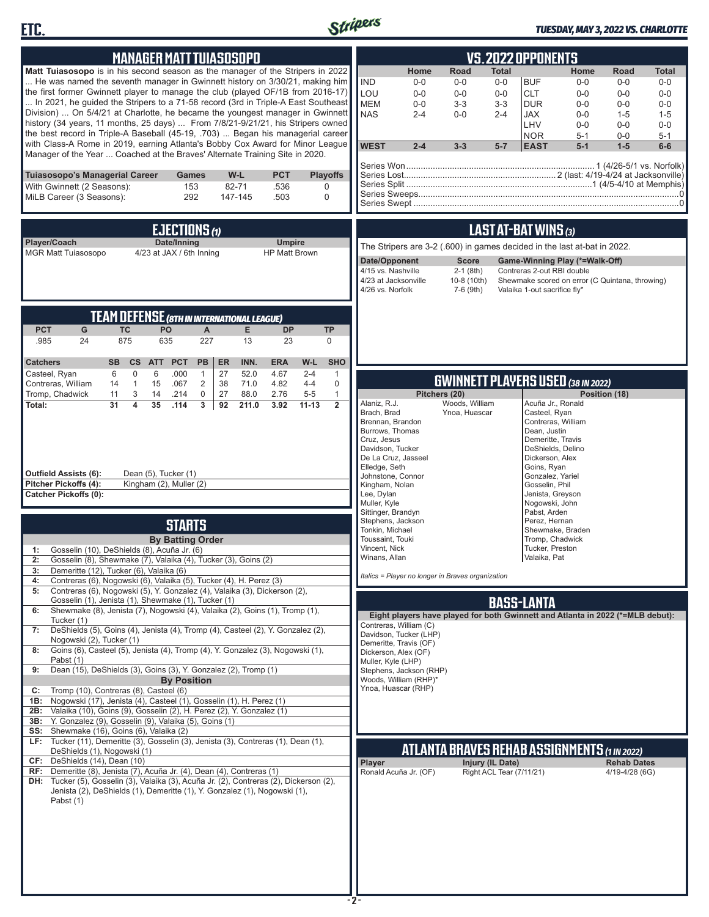



### *TUESDAY, MAY 3, 2022 VS. CHARLOTTE*

| <b>MANAGER MATT TUIASOSOPO</b>                                                                                                                                                                                                                                                                                                                                                                                                                                                                                                                                                                                                                                                                                                                                                                                                                                                                                                                                                                                                                                                                                                                                                                                 | <b>VS.2022 OPPONENTS</b>                                                                                                                                                                                                                                                                                                                                                                                                                                                                                                                                                                                                                                                                    |  |  |  |  |
|----------------------------------------------------------------------------------------------------------------------------------------------------------------------------------------------------------------------------------------------------------------------------------------------------------------------------------------------------------------------------------------------------------------------------------------------------------------------------------------------------------------------------------------------------------------------------------------------------------------------------------------------------------------------------------------------------------------------------------------------------------------------------------------------------------------------------------------------------------------------------------------------------------------------------------------------------------------------------------------------------------------------------------------------------------------------------------------------------------------------------------------------------------------------------------------------------------------|---------------------------------------------------------------------------------------------------------------------------------------------------------------------------------------------------------------------------------------------------------------------------------------------------------------------------------------------------------------------------------------------------------------------------------------------------------------------------------------------------------------------------------------------------------------------------------------------------------------------------------------------------------------------------------------------|--|--|--|--|
| Matt Tuiasosopo is in his second season as the manager of the Stripers in 2022<br>He was named the seventh manager in Gwinnett history on 3/30/21, making him<br>the first former Gwinnett player to manage the club (played OF/1B from 2016-17)<br>In 2021, he guided the Stripers to a 71-58 record (3rd in Triple-A East Southeast<br>Division)  On 5/4/21 at Charlotte, he became the youngest manager in Gwinnett<br>history (34 years, 11 months, 25 days)  From 7/8/21-9/21/21, his Stripers owned<br>the best record in Triple-A Baseball (45-19, .703)  Began his managerial career<br>with Class-A Rome in 2019, earning Atlanta's Bobby Cox Award for Minor League<br>Manager of the Year  Coached at the Braves' Alternate Training Site in 2020.                                                                                                                                                                                                                                                                                                                                                                                                                                                  | <b>Road</b><br>Home<br>Total<br>Home<br>Road<br><b>Total</b><br><b>IND</b><br><b>BUF</b><br>$0-0$<br>$0-0$<br>$0-0$<br>$0-0$<br>$0-0$<br>$0-0$<br>LOU<br>$0-0$<br>$0-0$<br>$0-0$<br><b>CLT</b><br>$0 - 0$<br>$0-0$<br>$0 - 0$<br><b>MEM</b><br>$0-0$<br>$3 - 3$<br>$3-3$<br><b>DUR</b><br>$0-0$<br>$0 - 0$<br>$0-0$<br><b>NAS</b><br>$0 - 0$<br><b>JAX</b><br>$2 - 4$<br>$2 - 4$<br>$0-0$<br>$1 - 5$<br>$1 - 5$<br>LHV<br>$0 - 0$<br>$0-0$<br>$0 - 0$<br><b>NOR</b><br>$0-0$<br>$5 - 1$<br>$5 - 1$<br><b>WEST</b><br>$2 - 4$<br>$3 - 3$<br>$5 - 7$<br><b>EAST</b><br>$5-1$<br>$1-5$<br>$6-6$                                                                                                |  |  |  |  |
| <b>PCT</b><br>Tuiasosopo's Managerial Career<br>W-L<br><b>Playoffs</b><br>Games<br>153<br>82-71<br>.536<br>With Gwinnett (2 Seasons):<br>0<br>292<br>MiLB Career (3 Seasons):<br>147-145<br>.503<br>$\mathbf 0$                                                                                                                                                                                                                                                                                                                                                                                                                                                                                                                                                                                                                                                                                                                                                                                                                                                                                                                                                                                                |                                                                                                                                                                                                                                                                                                                                                                                                                                                                                                                                                                                                                                                                                             |  |  |  |  |
| EJECTIONS $\omega$                                                                                                                                                                                                                                                                                                                                                                                                                                                                                                                                                                                                                                                                                                                                                                                                                                                                                                                                                                                                                                                                                                                                                                                             | LAST AT-BAT WINS (3)                                                                                                                                                                                                                                                                                                                                                                                                                                                                                                                                                                                                                                                                        |  |  |  |  |
| Player/Coach<br>Date/Inning<br><b>Umpire</b><br><b>MGR Matt Tuiasosopo</b><br>4/23 at JAX / 6th Inning<br><b>HP Matt Brown</b>                                                                                                                                                                                                                                                                                                                                                                                                                                                                                                                                                                                                                                                                                                                                                                                                                                                                                                                                                                                                                                                                                 | The Stripers are 3-2 (.600) in games decided in the last at-bat in 2022.<br>Date/Opponent<br><b>Score</b><br>Game-Winning Play (*=Walk-Off)<br>4/15 vs. Nashville<br>$2-1$ (8th)<br>Contreras 2-out RBI double<br>4/23 at Jacksonville<br>10-8 (10th)<br>Shewmake scored on error (C Quintana, throwing)<br>4/26 vs. Norfolk<br>7-6 (9th)<br>Valaika 1-out sacrifice fly*                                                                                                                                                                                                                                                                                                                   |  |  |  |  |
| <b>TEAM DEFENSE (8TH IN INTERNATIONAL LEAGUE)</b><br><b>PCT</b><br><b>TC</b><br>PO<br>E<br><b>TP</b><br>G<br>A<br><b>DP</b><br>875<br>.985<br>24<br>635<br>227<br>13<br>23<br>$\mathbf 0$                                                                                                                                                                                                                                                                                                                                                                                                                                                                                                                                                                                                                                                                                                                                                                                                                                                                                                                                                                                                                      |                                                                                                                                                                                                                                                                                                                                                                                                                                                                                                                                                                                                                                                                                             |  |  |  |  |
| <b>PCT</b><br>INN.<br>W-L<br><b>SHO</b><br><b>Catchers</b><br><b>SB</b><br><b>CS</b><br><b>ATT</b><br><b>PB</b><br>ER<br><b>ERA</b><br>$\mathbf 0$<br>6<br>.000<br>27<br>52.0<br>4.67<br>$2 - 4$<br>$\mathbf{1}$<br>Casteel, Ryan<br>6<br>$\overline{1}$                                                                                                                                                                                                                                                                                                                                                                                                                                                                                                                                                                                                                                                                                                                                                                                                                                                                                                                                                       |                                                                                                                                                                                                                                                                                                                                                                                                                                                                                                                                                                                                                                                                                             |  |  |  |  |
| Contreras, William<br>$\mathbf{1}$<br>15<br>$\overline{2}$<br>38<br>71.0<br>4.82<br>$4 - 4$<br>$\mathbf 0$<br>14<br>.067<br>Tromp, Chadwick<br>3<br>.214<br>0<br>27<br>88.0<br>2.76<br>$5-5$<br>$\mathbf{1}$<br>11<br>14<br>4<br>31<br>35<br>3<br>$\overline{2}$<br>Total:<br>.114<br>92<br>211.0<br>3.92<br>$11 - 13$<br><b>Outfield Assists (6):</b><br>Dean (5), Tucker (1)<br>Pitcher Pickoffs (4):<br>Kingham (2), Muller (2)<br><b>Catcher Pickoffs (0):</b><br><b>STARTS</b>                                                                                                                                                                                                                                                                                                                                                                                                                                                                                                                                                                                                                                                                                                                            | <b>GWINNETT PLAYERS USED (38 IN 2022)</b><br>Pitchers (20)<br>Position (18)<br>Alaniz, R.J.<br>Woods, William<br>Acuña Jr., Ronald<br>Brach, Brad<br>Ynoa, Huascar<br>Casteel, Ryan<br>Contreras, William<br>Brennan, Brandon<br>Burrows, Thomas<br>Dean, Justin<br>Cruz, Jesus<br>Demeritte, Travis<br>Davidson, Tucker<br>DeShields, Delino<br>De La Cruz, Jasseel<br>Dickerson, Alex<br>Elledge, Seth<br>Goins, Ryan<br>Johnstone, Connor<br>Gonzalez, Yariel<br>Kingham, Nolan<br>Gosselin, Phil<br>Lee, Dylan<br>Jenista, Greyson<br>Muller, Kyle<br>Nogowski, John<br>Sittinger, Brandyn<br>Pabst, Arden<br>Stephens, Jackson<br>Perez, Hernan<br>Tonkin, Michael<br>Shewmake, Braden |  |  |  |  |
| <b>By Batting Order</b><br>Gosselin (10), DeShields (8), Acuña Jr. (6)<br>1:                                                                                                                                                                                                                                                                                                                                                                                                                                                                                                                                                                                                                                                                                                                                                                                                                                                                                                                                                                                                                                                                                                                                   | Toussaint, Touki<br>Tromp, Chadwick<br>Vincent, Nick<br>Tucker, Preston                                                                                                                                                                                                                                                                                                                                                                                                                                                                                                                                                                                                                     |  |  |  |  |
| 2:<br>Gosselin (8), Shewmake (7), Valaika (4), Tucker (3), Goins (2)<br>Demeritte (12), Tucker (6), Valaika (6)<br>3:<br>Contreras (6), Nogowski (6), Valaika (5), Tucker (4), H. Perez (3)<br>4:<br>Contreras (6), Nogowski (5), Y. Gonzalez (4), Valaika (3), Dickerson (2),<br>5:                                                                                                                                                                                                                                                                                                                                                                                                                                                                                                                                                                                                                                                                                                                                                                                                                                                                                                                           | Winans, Allan<br>Valaika, Pat<br>Italics = Player no longer in Braves organization                                                                                                                                                                                                                                                                                                                                                                                                                                                                                                                                                                                                          |  |  |  |  |
| Gosselin (1), Jenista (1), Shewmake (1), Tucker (1)<br><b>BASS-LANTA</b><br>Shewmake (8), Jenista (7), Nogowski (4), Valaika (2), Goins (1), Tromp (1),<br>6:<br>Eight players have played for both Gwinnett and Atlanta in 2022 (*=MLB debut):<br>Tucker (1)<br>Contreras, William (C)<br>DeShields (5), Goins (4), Jenista (4), Tromp (4), Casteel (2), Y. Gonzalez (2),<br>7:<br>Davidson, Tucker (LHP)<br>Nogowski (2), Tucker (1)<br>Demeritte, Travis (OF)<br>Goins (6), Casteel (5), Jenista (4), Tromp (4), Y. Gonzalez (3), Nogowski (1),<br>8:<br>Dickerson, Alex (OF)<br>Pabst (1)<br>Muller, Kyle (LHP)<br>Dean (15), DeShields (3), Goins (3), Y. Gonzalez (2), Tromp (1)<br>9:<br>Stephens, Jackson (RHP)<br>Woods, William (RHP)*<br><b>By Position</b><br>Ynoa, Huascar (RHP)<br>Tromp (10), Contreras (8), Casteel (6)<br>C:<br>Nogowski (17), Jenista (4), Casteel (1), Gosselin (1), H. Perez (1)<br>1B:<br>Valaika (10), Goins (9), Gosselin (2), H. Perez (2), Y. Gonzalez (1)<br>2B:<br>3B: Y. Gonzalez (9), Gosselin (9), Valaika (5), Goins (1)<br>SS: Shewmake (16), Goins (6), Valaika (2)<br>Tucker (11), Demeritte (3), Gosselin (3), Jenista (3), Contreras (1), Dean (1),<br>LF: |                                                                                                                                                                                                                                                                                                                                                                                                                                                                                                                                                                                                                                                                                             |  |  |  |  |
| DeShields (1), Nogowski (1)<br>CF: DeShields (14), Dean (10)<br>RF: Demeritte (8), Jenista (7), Acuña Jr. (4), Dean (4), Contreras (1)<br>DH: Tucker (5), Gosselin (3), Valaika (3), Acuña Jr. (2), Contreras (2), Dickerson (2),<br>Jenista (2), DeShields (1), Demeritte (1), Y. Gonzalez (1), Nogowski (1),<br>Pabst (1)                                                                                                                                                                                                                                                                                                                                                                                                                                                                                                                                                                                                                                                                                                                                                                                                                                                                                    | <u>ATLANTA BRAVES REHAB ASSIGNMENTS (1 IN 2022)</u><br>Injury (IL Date)<br><b>Rehab Dates</b><br><b>Player</b><br>Right ACL Tear (7/11/21)<br>Ronald Acuña Jr. (OF)<br>4/19-4/28 (6G)<br>-2-                                                                                                                                                                                                                                                                                                                                                                                                                                                                                                |  |  |  |  |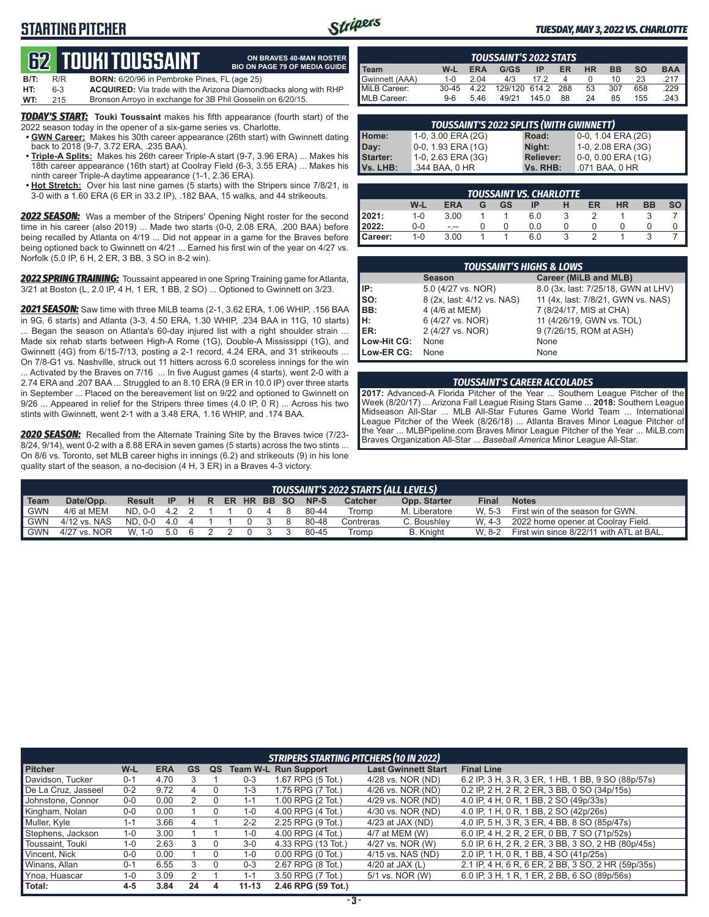## **STARTING PITCHER**



**ON BRAVES 40-MAN ROSTER BIO ON PAGE 79 OF MEDIA GUIDE**

#### *TUESDAY, MAY 3, 2022 VS. CHARLOTTE*

## **62****TOUKI TOUSSAINT**

| $B/T$ : | R/R | <b>BORN:</b> 6/20/96 in Pembroke Pines, FL (age 25) |  |
|---------|-----|-----------------------------------------------------|--|
|---------|-----|-----------------------------------------------------|--|

**HT:** 6-3 **ACQUIRED:** Via trade with the Arizona Diamondbacks along with RHP Bronson Arroyo in exchange for 3B Phil Gosselin on 6/20/15.

*TODAY'S START:* **Touki Toussaint** makes his fifth appearance (fourth start) of the 2022 season today in the opener of a six-game series vs. Charlotte.

- **• GWN Career:** Makes his 30th career appearance (26th start) with Gwinnett dating back to 2018 (9-7, 3.72 ERA, .235 BAA).
- **• Triple-A Splits:** Makes his 26th career Triple-A start (9-7, 3.96 ERA) ... Makes his 18th career appearance (16th start) at Coolray Field (6-3, 3.55 ERA) ... Makes his ninth career Triple-A daytime appearance (1-1, 2.36 ERA).
- **• Hot Stretch:** Over his last nine games (5 starts) with the Stripers since 7/8/21, is 3-0 with a 1.60 ERA (6 ER in 33.2 IP), .182 BAA, 15 walks, and 44 strikeouts.

*2022 SEASON:* Was a member of the Stripers' Opening Night roster for the second time in his career (also 2019) ... Made two starts (0-0, 2.08 ERA, .200 BAA) before being recalled by Atlanta on 4/19 ... Did not appear in a game for the Braves before being optioned back to Gwinnett on 4/21 ... Earned his first win of the year on 4/27 vs. Norfolk (5.0 IP, 6 H, 2 ER, 3 BB, 3 SO in 8-2 win).

*2022 SPRING TRAINING:* Toussaint appeared in one Spring Training game for Atlanta, 3/21 at Boston (L, 2.0 IP, 4 H, 1 ER, 1 BB, 2 SO) ... Optioned to Gwinnett on 3/23.

**2021 SEASON:** Saw time with three Mil B teams (2-1, 3.62 ERA, 1.06 WHIP, 156 BAA in 9G, 6 starts) and Atlanta (3-3, 4.50 ERA, 1.30 WHIP, .234 BAA in 11G, 10 starts) ... Began the season on Atlanta's 60-day injured list with a right shoulder strain ... Made six rehab starts between High-A Rome (1G), Double-A Mississippi (1G), and Gwinnett (4G) from 6/15-7/13, posting a 2-1 record, 4.24 ERA, and 31 strikeouts ...

On 7/8-G1 vs. Nashville, struck out 11 hitters across 6.0 scoreless innings for the win ... Activated by the Braves on 7/16 ... In five August games (4 starts), went 2-0 with a 2.74 ERA and .207 BAA ... Struggled to an 8.10 ERA (9 ER in 10.0 IP) over three starts in September ... Placed on the bereavement list on 9/22 and optioned to Gwinnett on 9/26 ... Appeared in relief for the Stripers three times (4.0 IP, 0 R) ... Across his two stints with Gwinnett, went 2-1 with a 3.48 ERA, 1.16 WHIP, and .174 BAA.

*2020 SEASON:* Recalled from the Alternate Training Site by the Braves twice (7/23- 8/24, 9/14), went 0-2 with a 8.88 ERA in seven games (5 starts) across the two stints ... On 8/6 vs. Toronto, set MLB career highs in innings (6.2) and strikeouts (9) in his lone quality start of the season, a no-decision (4 H, 3 ER) in a Braves 4-3 victory.

| <b>TOUSSAINT'S 2022 STATS</b> |         |            |               |           |     |    |           |           |            |
|-------------------------------|---------|------------|---------------|-----------|-----|----|-----------|-----------|------------|
| Team                          | W-L     | <b>ERA</b> | G/GS          | <b>IP</b> | ER  | HR | <b>BB</b> | <b>SO</b> | <b>BAA</b> |
| Gwinnett (AAA)                | $1 - 0$ | 2.04       | 4/3           | 17 2      |     |    | 10        | 23        |            |
| MiLB Career:                  | $30-45$ | 4 22       | 129/120 614.2 |           | 288 | 53 | 307       | 658       | .229       |
| MLB Career:                   | $9-6$   | 546        | 49/21         | 145.0     | 88  | 24 | 85        | 155       | 243        |

| <b>TOUSSAINT'S 2022 SPLITS (WITH GWINNETT)</b> |                       |                  |                    |  |  |  |  |  |  |  |  |
|------------------------------------------------|-----------------------|------------------|--------------------|--|--|--|--|--|--|--|--|
| Home:                                          | 1-0, 3.00 ERA (2G)    | Road:            | 0-0, 1.04 ERA (2G) |  |  |  |  |  |  |  |  |
| Day:                                           | $0-0$ , 1.93 ERA (1G) | Night:           | 1-0, 2.08 ERA (3G) |  |  |  |  |  |  |  |  |
| <b>Starter:</b>                                | 1-0, 2.63 ERA (3G)    | <b>Reliever:</b> | 0-0, 0.00 ERA (1G) |  |  |  |  |  |  |  |  |
| Vs. LHB:                                       | .344 BAA, 0 HR        | Vs. RHB:         | .071 BAA, 0 HR     |  |  |  |  |  |  |  |  |
|                                                |                       |                  |                    |  |  |  |  |  |  |  |  |

| TOUSSAINT VS. CHARLOTTE |         |            |   |    |     |   |    |           |           |           |  |  |  |
|-------------------------|---------|------------|---|----|-----|---|----|-----------|-----------|-----------|--|--|--|
|                         | W-L     | <b>ERA</b> | G | GS | ΙP  | н | ER | <b>HR</b> | <b>BB</b> | <b>SO</b> |  |  |  |
| 2021:                   | $1 - 0$ | 3.00       |   |    | 6.0 |   |    |           |           |           |  |  |  |
| 2022:                   | 0-0     | $- - -$    |   |    | 0.0 |   |    |           |           |           |  |  |  |
| Career:                 | $1 - 0$ | 3.00       |   |    | 6.0 |   |    |           |           |           |  |  |  |

|                 | <b>TOUSSAINT'S HIGHS &amp; LOWS</b> |                                     |  |  |  |  |  |  |  |  |  |  |
|-----------------|-------------------------------------|-------------------------------------|--|--|--|--|--|--|--|--|--|--|
|                 | <b>Season</b>                       | Career (MiLB and MLB)               |  |  |  |  |  |  |  |  |  |  |
| IP:             | 5.0 (4/27 vs. NOR)                  | 8.0 (3x, last: 7/25/18, GWN at LHV) |  |  |  |  |  |  |  |  |  |  |
| $\mathsf{Iso}:$ | 8 (2x, last: 4/12 vs. NAS)          | 11 (4x, last: 7/8/21, GWN vs. NAS)  |  |  |  |  |  |  |  |  |  |  |
| IBB:            | 4 (4/6 at MEM)                      | 7 (8/24/17, MIS at CHA)             |  |  |  |  |  |  |  |  |  |  |
| Iн:             | 6 (4/27 vs. NOR)                    | 11 (4/26/19, GWN vs. TOL)           |  |  |  |  |  |  |  |  |  |  |
| ER:             | 2 (4/27 vs. NOR)                    | 9 (7/26/15, ROM at ASH)             |  |  |  |  |  |  |  |  |  |  |
| Low-Hit CG:     | None                                | None                                |  |  |  |  |  |  |  |  |  |  |
| Low-ER CG:      | None                                | None                                |  |  |  |  |  |  |  |  |  |  |

#### *TOUSSAINT'S CAREER ACCOLADES*

**2017:** Advanced-A Florida Pitcher of the Year ... Southern League Pitcher of the Week (8/20/17) ... Arizona Fall League Rising Stars Game ... **2018:** Southern League Midseason All-Star ... MLB All-Star Futures Game World Team ... International League Pitcher of the Week (8/26/18) ... Atlanta Braves Minor League Pitcher of the Year ... MLBPipeline.com Braves Minor League Pitcher of the Year ... MiLB.com Braves Organization All-Star ... *Baseball America* Minor League All-Star.

|             | TOUSSAINT'S 2022 STARTS (ALL LEVELS) |         |       |     |  |  |  |  |             |           |                |               |              |                                          |
|-------------|--------------------------------------|---------|-------|-----|--|--|--|--|-------------|-----------|----------------|---------------|--------------|------------------------------------------|
| <b>Team</b> | Date/Opp.                            | Result  | - IP  | HR. |  |  |  |  | ER HR BB SO | NP-S      | <b>Catcher</b> | Opp. Starter  | <b>Final</b> | <b>Notes</b>                             |
| <b>GWN</b>  | 4/6 at MEM                           | ND. 0-0 | 4.2 2 |     |  |  |  |  | 8           | 80-44     | Tromp          | M. Liberatore | W. 5-3       | First win of the season for GWN.         |
| <b>GWN</b>  | 4/12 vs. NAS                         | ND. 0-0 | 4.0 4 |     |  |  |  |  |             | 80-48     | Contreras      | C. Boushley   | W. 4-3       | 2022 home opener at Coolrav Field.       |
| <b>GWN</b>  | 4/27 vs. NOR                         | W. 1-0  | 5.0 6 |     |  |  |  |  |             | $80 - 45$ | Tromp          | B. Knight     | W 8-2        | First win since 8/22/11 with ATL at BAL. |

|                     |         |            |           |    |           | <b>STRIPERS STARTING PITCHERS (10 IN 2022)</b> |                            |                                                    |
|---------------------|---------|------------|-----------|----|-----------|------------------------------------------------|----------------------------|----------------------------------------------------|
| <b>Pitcher</b>      | W-L     | <b>ERA</b> | <b>GS</b> | QS |           | <b>Team W-L Run Support</b>                    | <b>Last Gwinnett Start</b> | <b>Final Line</b>                                  |
| Davidson, Tucker    | $0 - 1$ | 4.70       |           |    | $0 - 3$   | 1.67 RPG (5 Tot.)                              | 4/28 vs. NOR (ND)          | 6.2 IP, 3 H, 3 R, 3 ER, 1 HB, 1 BB, 9 SO (88p/57s) |
| De La Cruz, Jasseel | $0 - 2$ | 9.72       | 4         |    | $1 - 3$   | 1.75 RPG (7 Tot.)                              | 4/26 vs. NOR (ND)          | 0.2 IP, 2 H, 2 R, 2 ER, 3 BB, 0 SO (34p/15s)       |
| Johnstone, Connor   | $0 - 0$ | 0.00       | 2         |    | $1 - 1$   | 1.00 RPG (2 Tot.)                              | 4/29 vs. NOR (ND)          | 4.0 IP, 4 H, 0 R, 1 BB, 2 SO (49p/33s)             |
| Kingham, Nolan      | $0 - 0$ | 0.00       |           |    | $1 - 0$   | 4.00 RPG (4 Tot.)                              | 4/30 vs. NOR (ND)          | 4.0 IP, 1 H, 0 R, 1 BB, 2 SO (42p/26s)             |
| Muller, Kyle        | 1-1     | 3.66       |           |    | $2 - 2$   | 2.25 RPG (9 Tot.)                              | $4/23$ at JAX (ND)         | 4.0 IP, 5 H, 3 R, 3 ER, 4 BB, 8 SO (85p/47s)       |
| Stephens, Jackson   | $1 - 0$ | 3.00       |           |    | 1-0       | 4.00 RPG (4 Tot.)                              | 4/7 at MEM (W)             | 6.0 IP, 4 H, 2 R, 2 ER, 0 BB, 7 SO (71p/52s)       |
| Toussaint, Touki    | 1-0     | 2.63       | 3         |    | $3-0$     | 4.33 RPG (13 Tot.)                             | 4/27 vs. NOR (W)           | 5.0 IP, 6 H, 2 R, 2 ER, 3 BB, 3 SO, 2 HB (80p/45s) |
| Vincent, Nick       | $0-0$   | 0.00       |           |    | $1 - 0$   | $0.00$ RPG $(0$ Tot.)                          | 4/15 vs. NAS (ND)          | 2.0 IP, 1 H, 0 R, 1 BB, 4 SO (41p/25s)             |
| Winans, Allan       | $0 - 1$ | 6.55       |           |    | $0 - 3$   | 2.67 RPG (8 Tot.)                              | 4/20 at JAX $(L)$          | 2.1 IP, 4 H, 6 R, 6 ER, 2 BB, 3 SO, 2 HR (59p/35s) |
| Ynoa, Huascar       | 1-0     | 3.09       |           |    | $1 - 1$   | 3.50 RPG (7 Tot.)                              | 5/1 vs. NOR (W)            | 6.0 IP, 3 H, 1 R, 1 ER, 2 BB, 6 SO (89p/56s)       |
| Total:              | $4 - 5$ | 3.84       | 24        | 4  | $11 - 13$ | 2.46 RPG (59 Tot.)                             |                            |                                                    |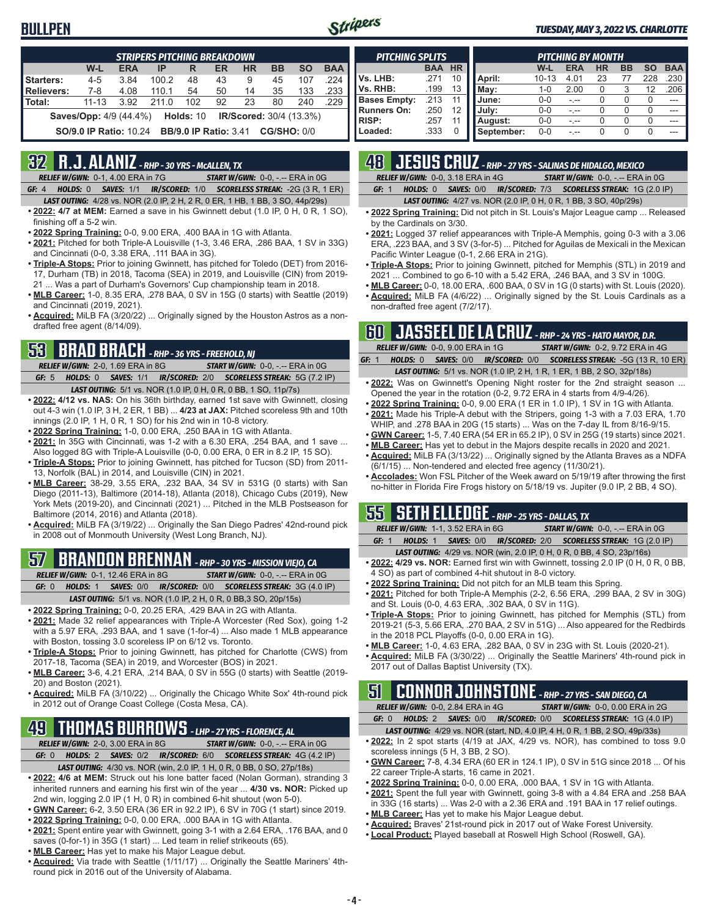### **BULLPEN**



#### *TUESDAY, MAY 3, 2022 VS. CHARLOTTE*

|                   | <b>STRIPERS PITCHING BREAKDOWN</b>                                                  |            |       |     |    |           |           |           |            |  |  |  |  |  |
|-------------------|-------------------------------------------------------------------------------------|------------|-------|-----|----|-----------|-----------|-----------|------------|--|--|--|--|--|
|                   | W-L                                                                                 | <b>ERA</b> | IP    | R   | ER | <b>HR</b> | <b>BB</b> | <b>SO</b> | <b>BAA</b> |  |  |  |  |  |
| Starters:         | $4 - 5$                                                                             | 3.84       | 100.2 | 48  | 43 | 9         | 45        | 107       | .224       |  |  |  |  |  |
| <b>Relievers:</b> | 7-8                                                                                 | 4.08       | 110.1 | 54  | 50 | 14        | 35        | 133       | .233       |  |  |  |  |  |
| Total:            | $11 - 13$                                                                           | 3.92       | 211.0 | 102 | 92 | 23        | 80        | 240       | .229       |  |  |  |  |  |
|                   | <b>Saves/Opp:</b> 4/9 (44.4%)<br>Holds: 10<br><b>IR/Scored:</b> 30/4 (13.3%)        |            |       |     |    |           |           |           |            |  |  |  |  |  |
|                   | <b>CG/SHO: 0/0</b><br><b>SO/9.0 IP Ratio: 10.24</b><br><b>BB/9.0 IP Ratio: 3.41</b> |            |       |     |    |           |           |           |            |  |  |  |  |  |

### **32 R.J. ALANIZ** *- RHP - 30 YRS - McALLEN, TX*

*RELIEF W/GWN:*0-1, 4.00 ERA in 7G *START W/GWN:*0-0, -.-- ERA in 0G

- *GF:*4 *HOLDS:*0 *SAVES:*1/1 *IR/SCORED:*1/0 *SCORELESS STREAK:*-2G (3 R, 1 ER) *LAST OUTING:*4/28 vs. NOR (2.0 IP, 2 H, 2 R, 0 ER, 1 HB, 1 BB, 3 SO, 44p/29s)
- **• 2022: 4/7 at MEM:** Earned a save in his Gwinnett debut (1.0 IP, 0 H, 0 R, 1 SO), finishing off a 5-2 win.
- **• 2022 Spring Training:** 0-0, 9.00 ERA, .400 BAA in 1G with Atlanta.
- **• 2021:** Pitched for both Triple-A Louisville (1-3, 3.46 ERA, .286 BAA, 1 SV in 33G) and Cincinnati (0-0, 3.38 ERA, .111 BAA in 3G).
- **• Triple-A Stops:** Prior to joining Gwinnett, has pitched for Toledo (DET) from 2016- 17, Durham (TB) in 2018, Tacoma (SEA) in 2019, and Louisville (CIN) from 2019- 21 ... Was a part of Durham's Governors' Cup championship team in 2018.
- **• MLB Career:** 1-0, 8.35 ERA, .278 BAA, 0 SV in 15G (0 starts) with Seattle (2019) and Cincinnati (2019, 2021).
- **• Acquired:** MiLB FA (3/20/22) ... Originally signed by the Houston Astros as a nondrafted free agent (8/14/09).

## **53 BRAD BRACH** *- RHP - 36 YRS - FREEHOLD, NJ*

*RELIEF W/GWN:*2-0, 1.69 ERA in 8G *START W/GWN:*0-0, -.-- ERA in 0G *GF:*5 *HOLDS:*0 *SAVES:*1/1 *IR/SCORED:*2/0 *SCORELESS STREAK:*5G (7.2 IP)

- *LAST OUTING:*5/1 vs. NOR (1.0 IP, 0 H, 0 R, 0 BB, 1 SO, 11p/7s) **• 2022: 4/12 vs. NAS:** On his 36th birthday, earned 1st save with Gwinnett, closing out 4-3 win (1.0 IP, 3 H, 2 ER, 1 BB) ... **4/23 at JAX:** Pitched scoreless 9th and 10th innings (2.0 IP, 1 H, 0 R, 1 SO) for his 2nd win in 10-8 victory.
- **• 2022 Spring Training:** 1-0, 0.00 ERA, .250 BAA in 1G with Atlanta.
- **• 2021:** In 35G with Cincinnati, was 1-2 with a 6.30 ERA, .254 BAA, and 1 save ... Also logged 8G with Triple-A Louisville (0-0, 0.00 ERA, 0 ER in 8.2 IP, 15 SO).
- **• Triple-A Stops:** Prior to joining Gwinnett, has pitched for Tucson (SD) from 2011- 13, Norfolk (BAL) in 2014, and Louisville (CIN) in 2021.
- **• MLB Career:** 38-29, 3.55 ERA, .232 BAA, 34 SV in 531G (0 starts) with San Diego (2011-13), Baltimore (2014-18), Atlanta (2018), Chicago Cubs (2019), New York Mets (2019-20), and Cincinnati (2021) ... Pitched in the MLB Postseason for Baltimore (2014, 2016) and Atlanta (2018).
- **• Acquired:** MiLB FA (3/19/22) ... Originally the San Diego Padres' 42nd-round pick in 2008 out of Monmouth University (West Long Branch, NJ).

## **57 BRANDON BRENNAN** *- RHP - 30 YRS - MISSION VIEJO, CA*

*RELIEF W/GWN:*0-1, 12.46 ERA in 8G *START W/GWN:*0-0, -.-- ERA in 0G *GF:*0 *HOLDS:*1 *SAVES:*0/0 *IR/SCORED:*0/0 *SCORELESS STREAK:*3G (4.0 IP)

- *LAST OUTING:*5/1 vs. NOR (1.0 IP, 2 H, 0 R, 0 BB,3 SO, 20p/15s)
- **• 2022 Spring Training:** 0-0, 20.25 ERA, .429 BAA in 2G with Atlanta.
- **• 2021:** Made 32 relief appearances with Triple-A Worcester (Red Sox), going 1-2 with a 5.97 ERA, .293 BAA, and 1 save (1-for-4) ... Also made 1 MLB appearance with Boston, tossing 3.0 scoreless IP on 6/12 vs. Toronto.
- **• Triple-A Stops:** Prior to joining Gwinnett, has pitched for Charlotte (CWS) from 2017-18, Tacoma (SEA) in 2019, and Worcester (BOS) in 2021.
- **• MLB Career:** 3-6, 4.21 ERA, .214 BAA, 0 SV in 55G (0 starts) with Seattle (2019- 20) and Boston (2021).
- **• Acquired:** MiLB FA (3/10/22) ... Originally the Chicago White Sox' 4th-round pick in 2012 out of Orange Coast College (Costa Mesa, CA).

## **49 THOMAS BURROWS** *- LHP - 27 YRS - FLORENCE, AL*

*RELIEF W/GWN:*2-0, 3.00 ERA in 8G *START W/GWN:*0-0, -.-- ERA in 0G

- *GF:*0 *HOLDS:*2 *SAVES:*0/2 *IR/SCORED:*6/0 *SCORELESS STREAK:*4G (4.2 IP) *LAST OUTING:*4/30 vs. NOR (win, 2.0 IP, 1 H, 0 R, 0 BB, 0 SO, 27p/18s)
- **• 2022: 4/6 at MEM:** Struck out his lone batter faced (Nolan Gorman), stranding 3 inherited runners and earning his first win of the year ... **4/30 vs. NOR:** Picked up 2nd win, logging 2.0 IP (1 H, 0 R) in combined 6-hit shutout (won 5-0).
- **• GWN Career:** 6-2, 3.50 ERA (36 ER in 92.2 IP), 6 SV in 70G (1 start) since 2019.
- **• 2022 Spring Training:** 0-0, 0.00 ERA, .000 BAA in 1G with Atlanta.
- **• 2021:** Spent entire year with Gwinnett, going 3-1 with a 2.64 ERA, .176 BAA, and 0 saves (0-for-1) in 35G (1 start) ... Led team in relief strikeouts (65).
- **• MLB Career:** Has yet to make his Major League debut.
- **• Acquired:** Via trade with Seattle (1/11/17) ... Originally the Seattle Mariners' 4thround pick in 2016 out of the University of Alabama.

| <b>PITCHING SPLITS</b> |            |           | <b>PITCHING BY MONTH</b> |           |            |           |           |           |            |  |  |
|------------------------|------------|-----------|--------------------------|-----------|------------|-----------|-----------|-----------|------------|--|--|
|                        | <b>BAA</b> | <b>HR</b> |                          | W-L       | <b>ERA</b> | <b>HR</b> | <b>BB</b> | <b>SO</b> | <b>BAA</b> |  |  |
| Vs. LHB:               | .271       | 10        | April:                   | $10 - 13$ | 4.01       | 23        | 77        | 228       | 230        |  |  |
| Vs. RHB:               | .199       | 13        | Mav:                     | 1-0       | 2.00       |           |           | 12        | 206        |  |  |
| <b>Bases Empty:</b>    | .213       |           | June:                    | $0 - 0$   |            |           |           | O         |            |  |  |
| <b>Runners On:</b>     | .250       | 12        | July:                    | $0 - 0$   |            |           |           | $\Omega$  | ---        |  |  |
| <b>RISP:</b>           | .257       | 11        | August:                  | $0 - 0$   |            |           |           | O         |            |  |  |
| Loaded:                | .333       | U         | September:               | $0 - 0$   |            |           |           | O         |            |  |  |

## **48 JESUS CRUZ** *- RHP - 27 YRS - SALINAS DE HIDALGO, MEXICO*

| __                                       |                                                                         |  | the contract of the contract of the contract of the contract of the contract of the contract of the contract o |  |  |
|------------------------------------------|-------------------------------------------------------------------------|--|----------------------------------------------------------------------------------------------------------------|--|--|
| <b>RELIEF W/GWN: 0-0, 3.18 ERA in 4G</b> |                                                                         |  | <b>START W/GWN: 0-0, -.-- ERA in 0G</b>                                                                        |  |  |
| GF: 1                                    | <b>HOLDS: 0 SAVES: 0/0 IR/SCORED: 7/3 SCORELESS STREAK: 1G (2.0 IP)</b> |  |                                                                                                                |  |  |

*LAST OUTING:*4/27 vs. NOR (2.0 IP, 0 H, 0 R, 1 BB, 3 SO, 40p/29s)

- **• 2022 Spring Training:** Did not pitch in St. Louis's Major League camp ... Released by the Cardinals on 3/30.
- **• 2021:** Logged 37 relief appearances with Triple-A Memphis, going 0-3 with a 3.06 ERA, .223 BAA, and 3 SV (3-for-5) ... Pitched for Aguilas de Mexicali in the Mexican Pacific Winter League (0-1, 2.66 ERA in 21G).
- **• Triple-A Stops:** Prior to joining Gwinnett, pitched for Memphis (STL) in 2019 and 2021 ... Combined to go 6-10 with a 5.42 ERA, .246 BAA, and 3 SV in 100G.
- **• MLB Career:** 0-0, 18.00 ERA, .600 BAA, 0 SV in 1G (0 starts) with St. Louis (2020). **• Acquired:** MiLB FA (4/6/22) ... Originally signed by the St. Louis Cardinals as a
- non-drafted free agent (7/2/17).

## **60 JASSEEL DE LA CRUZ** *- RHP - 24 YRS - HATO MAYOR, D.R.*

**RELIEF W/GWN:** 0-0, 9.00 ERA in 1G **START W/GWN:** 0-2, 9.72 ERA in 4G<br>**GF:** 1 **HOLDS:** 0 **SAVES:** 0/0 **IR/SCORED:** 0/0 **SCORELESS STREAK:** -5G (13 R, 10 *GF:*1 *HOLDS:*0 *SAVES:*0/0 *IR/SCORED:*0/0 *SCORELESS STREAK:*-5G (13 R, 10 ER) *LAST OUTING:*5/1 vs. NOR (1.0 IP, 2 H, 1 R, 1 ER, 1 BB, 2 SO, 32p/18s)

- **• 2022:** Was on Gwinnett's Opening Night roster for the 2nd straight season ... Opened the year in the rotation (0-2, 9.72 ERA in 4 starts from 4/9-4/26).
- **• 2022 Spring Training:** 0-0, 9.00 ERA (1 ER in 1.0 IP), 1 SV in 1G with Atlanta.
- **• 2021:** Made his Triple-A debut with the Stripers, going 1-3 with a 7.03 ERA, 1.70 WHIP, and .278 BAA in 20G (15 starts) ... Was on the 7-day IL from 8/16-9/15.
- **• GWN Career:** 1-5, 7.40 ERA (54 ER in 65.2 IP), 0 SV in 25G (19 starts) since 2021.
- **• MLB Career:** Has yet to debut in the Majors despite recalls in 2020 and 2021.
- **• Acquired:** MiLB FA (3/13/22) ... Originally signed by the Atlanta Braves as a NDFA (6/1/15) ... Non-tendered and elected free agency (11/30/21).
- **• Accolades:** Won FSL Pitcher of the Week award on 5/19/19 after throwing the first no-hitter in Florida Fire Frogs history on 5/18/19 vs. Jupiter (9.0 IP, 2 BB, 4 SO).

### **55 SETH ELLEDGE** *- RHP - 25 YRS - DALLAS, TX*

*RELIEF W/GWN:*1-1, 3.52 ERA in 6G *START W/GWN:*0-0, -.-- ERA in 0G *GF:*1 *HOLDS:*1 *SAVES:*0/0 *IR/SCORED:*2/0 *SCORELESS STREAK:*1G (2.0 IP)

- *LAST OUTING:*4/29 vs. NOR (win, 2.0 IP, 0 H, 0 R, 0 BB, 4 SO, 23p/16s) **• 2022: 4/29 vs. NOR:** Earned first win with Gwinnett, tossing 2.0 IP (0 H, 0 R, 0 BB,
- 4 SO) as part of combined 4-hit shutout in 8-0 victory.
- **• 2022 Spring Training:** Did not pitch for an MLB team this Spring.
- **• 2021:** Pitched for both Triple-A Memphis (2-2, 6.56 ERA, .299 BAA, 2 SV in 30G) and St. Louis (0-0, 4.63 ERA, .302 BAA, 0 SV in 11G).
- **• Triple-A Stops:** Prior to joining Gwinnett, has pitched for Memphis (STL) from 2019-21 (5-3, 5.66 ERA, .270 BAA, 2 SV in 51G) ... Also appeared for the Redbirds in the 2018 PCL Playoffs (0-0, 0.00 ERA in 1G).
- **• MLB Career:** 1-0, 4.63 ERA, .282 BAA, 0 SV in 23G with St. Louis (2020-21).
- **• Acquired:** MiLB FA (3/30/22) ... Originally the Seattle Mariners' 4th-round pick in 2017 out of Dallas Baptist University (TX).

## **51 CONNOR JOHNSTONE** *- RHP - 27 YRS - SAN DIEGO, CA*

*RELIEF W/GWN:*0-0, 2.84 ERA in 4G *START W/GWN:*0-0, 0.00 ERA in 2G *GF:*0 *HOLDS:*2 *SAVES:*0/0 *IR/SCORED:*0/0 *SCORELESS STREAK:*1G (4.0 IP)

- *LAST OUTING:*4/29 vs. NOR (start, ND, 4.0 IP, 4 H, 0 R, 1 BB, 2 SO, 49p/33s) **• 2022:** In 2 spot starts (4/19 at JAX, 4/29 vs. NOR), has combined to toss 9.0 scoreless innings (5 H, 3 BB, 2 SO).
- **• GWN Career:** 7-8, 4.34 ERA (60 ER in 124.1 IP), 0 SV in 51G since 2018 ... Of his 22 career Triple-A starts, 16 came in 2021.
- **• 2022 Spring Training:** 0-0, 0.00 ERA, .000 BAA, 1 SV in 1G with Atlanta.
- **• 2021:** Spent the full year with Gwinnett, going 3-8 with a 4.84 ERA and .258 BAA in 33G (16 starts) ... Was 2-0 with a 2.36 ERA and .191 BAA in 17 relief outings.
- **• MLB Career:** Has yet to make his Major League debut.
- **• Acquired:** Braves' 21st-round pick in 2017 out of Wake Forest University.
- **• Local Product:** Played baseball at Roswell High School (Roswell, GA).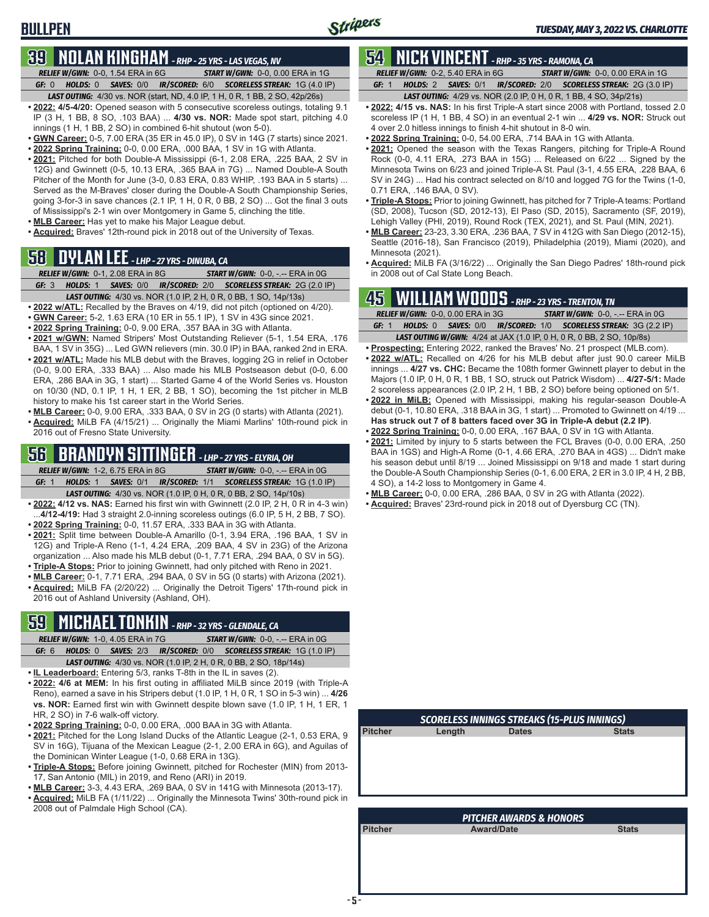## **39 NOLAN KINGHAM** *- RHP - 25 YRS - LAS VEGAS, NV*

*RELIEF W/GWN:*0-0, 1.54 ERA in 6G *START W/GWN:*0-0, 0.00 ERA in 1G *GF:*0 *HOLDS:*0 *SAVES:*0/0 *IR/SCORED:*6/0 *SCORELESS STREAK:*1G (4.0 IP)

- *LAST OUTING:*4/30 vs. NOR (start, ND, 4.0 IP, 1 H, 0 R, 1 BB, 2 SO, 42p/26s) **• 2022: 4/5-4/20:** Opened season with 5 consecutive scoreless outings, totaling 9.1 IP (3 H, 1 BB, 8 SO, .103 BAA) ... **4/30 vs. NOR:** Made spot start, pitching 4.0 innings (1 H, 1 BB, 2 SO) in combined 6-hit shutout (won 5-0).
- **• GWN Career:** 0-5, 7.00 ERA (35 ER in 45.0 IP), 0 SV in 14G (7 starts) since 2021.
- **• 2022 Spring Training:** 0-0, 0.00 ERA, .000 BAA, 1 SV in 1G with Atlanta.
- **• 2021:** Pitched for both Double-A Mississippi (6-1, 2.08 ERA, .225 BAA, 2 SV in 12G) and Gwinnett (0-5, 10.13 ERA, .365 BAA in 7G) ... Named Double-A South Pitcher of the Month for June (3-0, 0.83 ERA, 0.83 WHIP, .193 BAA in 5 starts) ... Served as the M-Braves' closer during the Double-A South Championship Series, going 3-for-3 in save chances (2.1 IP, 1 H, 0 R, 0 BB, 2 SO) ... Got the final 3 outs of Mississippi's 2-1 win over Montgomery in Game 5, clinching the title.
- **• MLB Career:** Has yet to make his Major League debut.
- **• Acquired:** Braves' 12th-round pick in 2018 out of the University of Texas.

## **58 DYLAN LEE** *- LHP - 27 YRS - DINUBA, CA*

*RELIEF W/GWN:*0-1, 2.08 ERA in 8G *START W/GWN:*0-0, -.-- ERA in 0G *GF:*3 *HOLDS:*1 *SAVES:*0/0 *IR/SCORED:*2/0 *SCORELESS STREAK:*2G (2.0 IP)

- *LAST OUTING:*4/30 vs. NOR (1.0 IP, 2 H, 0 R, 0 BB, 1 SO, 14p/13s)
- **• 2022 w/ATL:** Recalled by the Braves on 4/19, did not pitch (optioned on 4/20).
- **• GWN Career:** 5-2, 1.63 ERA (10 ER in 55.1 IP), 1 SV in 43G since 2021.
- **• 2022 Spring Training:** 0-0, 9.00 ERA, .357 BAA in 3G with Atlanta.
- **• 2021 w/GWN:** Named Stripers' Most Outstanding Reliever (5-1, 1.54 ERA, .176
- BAA, 1 SV in 35G) ... Led GWN relievers (min. 30.0 IP) in BAA, ranked 2nd in ERA. **• 2021 w/ATL:** Made his MLB debut with the Braves, logging 2G in relief in October (0-0, 9.00 ERA, .333 BAA) ... Also made his MLB Postseason debut (0-0, 6.00 ERA, .286 BAA in 3G, 1 start) ... Started Game 4 of the World Series vs. Houston on 10/30 (ND, 0.1 IP, 1 H, 1 ER, 2 BB, 1 SO), becoming the 1st pitcher in MLB history to make his 1st career start in the World Series.
- **• MLB Career:** 0-0, 9.00 ERA, .333 BAA, 0 SV in 2G (0 starts) with Atlanta (2021).
- **• Acquired:** MiLB FA (4/15/21) ... Originally the Miami Marlins' 10th-round pick in 2016 out of Fresno State University.

## **56 BRANDYN SITTINGER** *- LHP - 27 YRS - ELYRIA, OH*

- *RELIEF W/GWN:*1-2, 6.75 ERA in 8G *START W/GWN:*0-0, -.-- ERA in 0G *GF:*1 *HOLDS:*1 *SAVES:*0/1 *IR/SCORED:*1/1 *SCORELESS STREAK:*1G (1.0 IP)
- *LAST OUTING:*4/30 vs. NOR (1.0 IP, 0 H, 0 R, 0 BB, 2 SO, 14p/10s) **• 2022: 4/12 vs. NAS:** Earned his first win with Gwinnett (2.0 IP, 2 H, 0 R in 4-3 win) ...**4/12-4/19:** Had 3 straight 2.0-inning scoreless outings (6.0 IP, 5 H, 2 BB, 7 SO).
- **• 2022 Spring Training:** 0-0, 11.57 ERA, .333 BAA in 3G with Atlanta.
- **• 2021:** Split time between Double-A Amarillo (0-1, 3.94 ERA, .196 BAA, 1 SV in 12G) and Triple-A Reno (1-1, 4.24 ERA, .209 BAA, 4 SV in 23G) of the Arizona organization ... Also made his MLB debut (0-1, 7.71 ERA, .294 BAA, 0 SV in 5G).
- **• Triple-A Stops:** Prior to joining Gwinnett, had only pitched with Reno in 2021.
- **• MLB Career:** 0-1, 7.71 ERA, .294 BAA, 0 SV in 5G (0 starts) with Arizona (2021). **• Acquired:** MiLB FA (2/20/22) ... Originally the Detroit Tigers' 17th-round pick in
- 2016 out of Ashland University (Ashland, OH).

## **59 MICHAEL TONKIN** *- RHP - 32 YRS - GLENDALE, CA*

- *RELIEF W/GWN:*1-0, 4.05 ERA in 7G *START W/GWN:*0-0, -.-- ERA in 0G *GF:*6 *HOLDS:*0 *SAVES:*2/3 *IR/SCORED:*0/0 *SCORELESS STREAK:*1G (1.0 IP) *LAST OUTING:*4/30 vs. NOR (1.0 IP, 2 H, 0 R, 0 BB, 2 SO, 18p/14s)
- **• IL Leaderboard:** Entering 5/3, ranks T-8th in the IL in saves (2).
- **• 2022: 4/6 at MEM:** In his first outing in affiliated MiLB since 2019 (with Triple-A Reno), earned a save in his Stripers debut (1.0 IP, 1 H, 0 R, 1 SO in 5-3 win) ... **4/26 vs. NOR:** Earned first win with Gwinnett despite blown save (1.0 IP, 1 H, 1 ER, 1 HR, 2 SO) in 7-6 walk-off victory.
- **• 2022 Spring Training:** 0-0, 0.00 ERA, .000 BAA in 3G with Atlanta.
- **• 2021:** Pitched for the Long Island Ducks of the Atlantic League (2-1, 0.53 ERA, 9 SV in 16G), Tijuana of the Mexican League (2-1, 2.00 ERA in 6G), and Aguilas of the Dominican Winter League (1-0, 0.68 ERA in 13G).
- **• Triple-A Stops:** Before joining Gwinnett, pitched for Rochester (MIN) from 2013- 17, San Antonio (MIL) in 2019, and Reno (ARI) in 2019.
- **• MLB Career:** 3-3, 4.43 ERA, .269 BAA, 0 SV in 141G with Minnesota (2013-17).
- **• Acquired:** MiLB FA (1/11/22) ... Originally the Minnesota Twins' 30th-round pick in 2008 out of Palmdale High School (CA).

## **54 NICK VINCENT** *- RHP - 35 YRS - RAMONA, CA*

*RELIEF W/GWN:*0-2, 5.40 ERA in 6G *START W/GWN:*0-0, 0.00 ERA in 1G *GF:*1 *HOLDS:*2 *SAVES:*0/1 *IR/SCORED:*2/0 *SCORELESS STREAK:*2G (3.0 IP)

- *LAST OUTING:*4/29 vs. NOR (2.0 IP, 0 H, 0 R, 1 BB, 4 SO, 34p/21s)
- **• 2022: 4/15 vs. NAS:** In his first Triple-A start since 2008 with Portland, tossed 2.0 scoreless IP (1 H, 1 BB, 4 SO) in an eventual 2-1 win ... **4/29 vs. NOR:** Struck out 4 over 2.0 hitless innings to finish 4-hit shutout in 8-0 win.
- **• 2022 Spring Training:** 0-0, 54.00 ERA, .714 BAA in 1G with Atlanta.
- **• 2021:** Opened the season with the Texas Rangers, pitching for Triple-A Round Rock (0-0, 4.11 ERA, .273 BAA in 15G) ... Released on 6/22 ... Signed by the Minnesota Twins on 6/23 and joined Triple-A St. Paul (3-1, 4.55 ERA, .228 BAA, 6 SV in 24G) ... Had his contract selected on 8/10 and logged 7G for the Twins (1-0, 0.71 ERA, .146 BAA, 0 SV).
- **• Triple-A Stops:** Prior to joining Gwinnett, has pitched for 7 Triple-A teams: Portland (SD, 2008), Tucson (SD, 2012-13), El Paso (SD, 2015), Sacramento (SF, 2019), Lehigh Valley (PHI, 2019), Round Rock (TEX, 2021), and St. Paul (MIN, 2021).
- **• MLB Career:** 23-23, 3.30 ERA, .236 BAA, 7 SV in 412G with San Diego (2012-15), Seattle (2016-18), San Francisco (2019), Philadelphia (2019), Miami (2020), and Minnesota (2021).
- **• Acquired:** MiLB FA (3/16/22) ... Originally the San Diego Padres' 18th-round pick in 2008 out of Cal State Long Beach.

### **45 WILLIAM WOODS** *- RHP - 23 YRS - TRENTON, TN*

|       | RELIEF W/GWN: 0-0, 0.00 ERA in 3G | <b>START W/GWN: 0-0, -.-- ERA in 0G</b>                                      |
|-------|-----------------------------------|------------------------------------------------------------------------------|
| GF: 1 |                                   | HOLDS: 0 SAVES: 0/0 IR/SCORED: 1/0 SCORELESS STREAK: 3G (2.2 IP)             |
|       |                                   | <b>LAST OUTING W/GWN:</b> 4/24 at JAX (1.0 IP, 0 H, 0 R, 0 BB, 2 SO, 10p/8s) |

- **• Prospecting:** Entering 2022, ranked the Braves' No. 21 prospect (MLB.com).
- **• 2022 w/ATL:** Recalled on 4/26 for his MLB debut after just 90.0 career MiLB innings ... **4/27 vs. CHC:** Became the 108th former Gwinnett player to debut in the Majors (1.0 IP, 0 H, 0 R, 1 BB, 1 SO, struck out Patrick Wisdom) ... **4/27-5/1:** Made 2 scoreless appearances (2.0 IP, 2 H, 1 BB, 2 SO) before being optioned on 5/1.
- **• 2022 in MiLB:** Opened with Mississippi, making his regular-season Double-A debut (0-1, 10.80 ERA, .318 BAA in 3G, 1 start) ... Promoted to Gwinnett on 4/19 ... **Has struck out 7 of 8 batters faced over 3G in Triple-A debut (2.2 IP)**.
- **• 2022 Spring Training:** 0-0, 0.00 ERA, .167 BAA, 0 SV in 1G with Atlanta. **• 2021:** Limited by injury to 5 starts between the FCL Braves (0-0, 0.00 ERA, .250
- BAA in 1GS) and High-A Rome (0-1, 4.66 ERA, .270 BAA in 4GS) ... Didn't make his season debut until 8/19 ... Joined Mississippi on 9/18 and made 1 start during the Double-A South Championship Series (0-1, 6.00 ERA, 2 ER in 3.0 IP, 4 H, 2 BB, 4 SO), a 14-2 loss to Montgomery in Game 4.
- **• MLB Career:** 0-0, 0.00 ERA, .286 BAA, 0 SV in 2G with Atlanta (2022).
- **• Acquired:** Braves' 23rd-round pick in 2018 out of Dyersburg CC (TN).

| <b>SCORELESS INNINGS STREAKS (15-PLUS INNINGS)</b> |        |              |              |  |  |  |  |  |  |  |  |
|----------------------------------------------------|--------|--------------|--------------|--|--|--|--|--|--|--|--|
| <b>Pitcher</b>                                     | Length | <b>Dates</b> | <b>Stats</b> |  |  |  |  |  |  |  |  |
|                                                    |        |              |              |  |  |  |  |  |  |  |  |
|                                                    |        |              |              |  |  |  |  |  |  |  |  |
|                                                    |        |              |              |  |  |  |  |  |  |  |  |
|                                                    |        |              |              |  |  |  |  |  |  |  |  |
|                                                    |        |              |              |  |  |  |  |  |  |  |  |

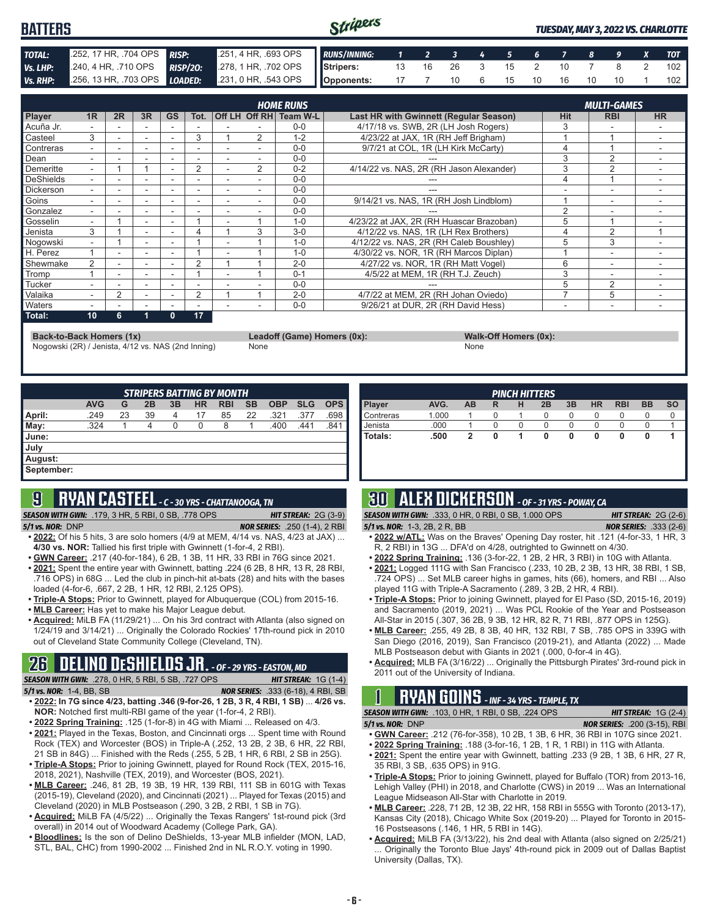#### Stripers **BATTERS** *TUESDAY, MAY 3, 2022 VS. CHARLOTTE TOTAL:* .252, 17 HR, .704 OPS *RISP:* .251, 4 HR, .693 OPS *RUNS/INNING: 1 2 3 4 5 6 7 8 9 X TOT Vs. LHP:* .240, 4 HR, .710 OPS *RISP/2O:* .278, 1 HR, .702 OPS **Stripers:** 13 16 26 3 15 2 10 7 8 2 102 *Vs. RHP:* .256, 13 HR, .703 OPS *LOADED:* .231, 0 HR, .543 OPS **Opponents:** 17 7 10 6 15 10 16 10 10 1 102

|                  |    |    |                          |                          |        |   |                | <b>HOME RUNS</b> |                                          |                | <b>MULTI-GAMES</b>       |                          |
|------------------|----|----|--------------------------|--------------------------|--------|---|----------------|------------------|------------------------------------------|----------------|--------------------------|--------------------------|
| <b>Player</b>    | 1R | 2R | 3R                       | <b>GS</b>                | Tot.   |   | Off LH Off RH  | Team W-L         | Last HR with Gwinnett (Regular Season)   | <b>Hit</b>     | <b>RBI</b>               | <b>HR</b>                |
| Acuña Jr.        |    |    |                          |                          |        |   |                | $0 - 0$          | 4/17/18 vs. SWB, 2R (LH Josh Rogers)     | 3              |                          |                          |
| Casteel          | 3  |    | ۰                        | $\overline{\phantom{a}}$ | 3      |   | 2              | $1 - 2$          | 4/23/22 at JAX, 1R (RH Jeff Brigham)     |                |                          |                          |
| Contreras        |    |    |                          |                          |        |   |                | $0 - 0$          | 9/7/21 at COL, 1R (LH Kirk McCarty)      | 4              |                          |                          |
| Dean             |    |    | ۰                        | ٠                        | $\sim$ |   |                | $0 - 0$          |                                          | 3              | $\overline{2}$           |                          |
| Demeritte        | ۰. |    |                          |                          | 2      |   | $\overline{2}$ | $0 - 2$          | 4/14/22 vs. NAS, 2R (RH Jason Alexander) | 3              | 2                        |                          |
| DeShields        |    |    |                          |                          |        |   |                | $0 - 0$          |                                          | 4              |                          |                          |
| <b>Dickerson</b> | ۰. |    | $\overline{\phantom{a}}$ |                          | -      | ۰ |                | $0 - 0$          |                                          | ۰              | $\overline{\phantom{a}}$ |                          |
| Goins            |    |    | ٠                        |                          | ۰      |   |                | $0 - 0$          | 9/14/21 vs. NAS, 1R (RH Josh Lindblom)   |                | ٠                        |                          |
| Gonzalez         |    |    |                          |                          |        |   |                | $0 - 0$          |                                          | $\overline{2}$ | ٠                        |                          |
| Gosselin         | ۰. |    | $\overline{\phantom{a}}$ | ٠                        |        |   |                | $1 - 0$          | 4/23/22 at JAX, 2R (RH Huascar Brazoban) | 5              |                          |                          |
| Jenista          | 3  |    | ٠                        |                          |        |   | 3              | $3-0$            | 4/12/22 vs. NAS, 1R (LH Rex Brothers)    |                | $\overline{2}$           |                          |
| Nogowski         |    |    |                          |                          |        |   |                | $1 - 0$          | 4/12/22 vs. NAS, 2R (RH Caleb Boushley)  | 5              | 3                        |                          |
| H. Perez         |    |    | $\overline{\phantom{a}}$ |                          |        |   |                | $1 - 0$          | 4/30/22 vs. NOR, 1R (RH Marcos Diplan)   |                | ۰                        |                          |
| Shewmake         | 2  |    | $\overline{\phantom{a}}$ |                          | 2      |   |                | $2 - 0$          | 4/27/22 vs. NOR, 1R (RH Matt Vogel)      | 6              | ٠                        |                          |
| Tromp            |    |    |                          |                          |        |   |                | $0 - 1$          | 4/5/22 at MEM, 1R (RH T.J. Zeuch)        | 3              |                          |                          |
| Tucker           |    |    | ۰                        |                          |        |   |                | $0 - 0$          |                                          | 5              | $\overline{2}$           | $\overline{\phantom{0}}$ |
| Valaika          |    | 2  | $\overline{\phantom{a}}$ | ۰                        | 2      |   |                | $2 - 0$          | 4/7/22 at MEM, 2R (RH Johan Oviedo)      |                | 5                        |                          |
| <b>Naters</b>    |    |    |                          |                          |        |   |                | $0 - 0$          | 9/26/21 at DUR, 2R (RH David Hess)       | ۰              | -                        |                          |
| Total:           | 10 | 6  |                          | $\mathbf{0}$             | 17     |   |                |                  |                                          |                |                          |                          |

**Back-to-Back Homers (1x) Leadoff (Game) Homers (0x): Walk-Off Homers (0x):**

Nogowski (2R) / Jenista, 4/12 vs. NAS (2nd Inning) None None None None None

| <b>STRIPERS BATTING BY MONTH</b> |            |    |    |    |           |            |           |            |            |            |  |  |
|----------------------------------|------------|----|----|----|-----------|------------|-----------|------------|------------|------------|--|--|
|                                  | <b>AVG</b> | G  | 2B | 3B | <b>HR</b> | <b>RBI</b> | <b>SB</b> | <b>OBP</b> | <b>SLG</b> | <b>OPS</b> |  |  |
| April:                           | .249       | 23 | 39 | 4  | 17        | 85         | 22        | .321       | .377       | .698       |  |  |
| $\blacksquare$ May:              | .324       |    | 4  | 0  | 0         | 8          |           | .400       | .441       | .841       |  |  |
| June:                            |            |    |    |    |           |            |           |            |            |            |  |  |
| July                             |            |    |    |    |           |            |           |            |            |            |  |  |
| August:                          |            |    |    |    |           |            |           |            |            |            |  |  |
| September:                       |            |    |    |    |           |            |           |            |            |            |  |  |

# **9 RYAN CASTEEL** *- C - 30 YRS - CHATTANOOGA, TN*

**SEASON WITH GWN:** .179, 3 HR, 5 RBI, 0 SB, .778 OPS *5/1 vs. NOR:*DNP *NOR SERIES:* .250 (1-4), 2 RBI

- **• 2022:** Of his 5 hits, 3 are solo homers (4/9 at MEM, 4/14 vs. NAS, 4/23 at JAX) ... **4/30 vs. NOR:** Tallied his first triple with Gwinnett (1-for-4, 2 RBI).
- **• GWN Career:** .217 (40-for-184), 6 2B, 1 3B, 11 HR, 33 RBI in 76G since 2021.
- **• 2021:** Spent the entire year with Gwinnett, batting .224 (6 2B, 8 HR, 13 R, 28 RBI, .716 OPS) in 68G ... Led the club in pinch-hit at-bats (28) and hits with the bases loaded (4-for-6, .667, 2 2B, 1 HR, 12 RBI, 2.125 OPS).
- **• Triple-A Stops:** Prior to Gwinnett, played for Albuquerque (COL) from 2015-16. **• MLB Career:** Has yet to make his Major League debut.
- **• Acquired:** MiLB FA (11/29/21) ... On his 3rd contract with Atlanta (also signed on 1/24/19 and 3/14/21) ... Originally the Colorado Rockies' 17th-round pick in 2010 out of Cleveland State Community College (Cleveland, TN).

## **26 DELINO DESHIELDS JR.** *- OF - 29 YRS - EASTON, MD*

*SEASON WITH GWN:*.278, 0 HR, 5 RBI, 5 SB, .727 OPS *HIT STREAK:* 1G (1-4)

- *5/1 vs. NOR:*1-4, BB, SB *NOR SERIES:* .333 (6-18), 4 RBI, SB
- **• 2022: In 7G since 4/23, batting .346 (9-for-26, 1 2B, 3 R, 4 RBI, 1 SB)** ... **4/26 vs. NOR:** Notched first multi-RBI game of the year (1-for-4, 2 RBI).
- **• 2022 Spring Training:** .125 (1-for-8) in 4G with Miami ... Released on 4/3. **• 2021:** Played in the Texas, Boston, and Cincinnati orgs ... Spent time with Round Rock (TEX) and Worcester (BOS) in Triple-A (.252, 13 2B, 2 3B, 6 HR, 22 RBI, 21 SB in 84G) ... Finished with the Reds (.255, 5 2B, 1 HR, 6 RBI, 2 SB in 25G). **• Triple-A Stops:** Prior to joining Gwinnett, played for Round Rock (TEX, 2015-16,
- 2018, 2021), Nashville (TEX, 2019), and Worcester (BOS, 2021).
- **• MLB Career:** .246, 81 2B, 19 3B, 19 HR, 139 RBI, 111 SB in 601G with Texas (2015-19), Cleveland (2020), and Cincinnati (2021) ... Played for Texas (2015) and Cleveland (2020) in MLB Postseason (.290, 3 2B, 2 RBI, 1 SB in 7G).
- **• Acquired:** MiLB FA (4/5/22) ... Originally the Texas Rangers' 1st-round pick (3rd overall) in 2014 out of Woodward Academy (College Park, GA).
- **• Bloodlines:** Is the son of Delino DeShields, 13-year MLB infielder (MON, LAD, STL, BAL, CHC) from 1990-2002 ... Finished 2nd in NL R.O.Y. voting in 1990.

| <b>PINCH HITTERS</b> |       |    |   |   |    |    |           |            |           |           |
|----------------------|-------|----|---|---|----|----|-----------|------------|-----------|-----------|
| Player               | AVG.  | AB | R | н | 2B | 3B | <b>HR</b> | <b>RBI</b> | <b>BB</b> | <b>SO</b> |
| Contreras            | 1.000 |    | O |   |    | 0  | $\Omega$  |            | O         |           |
| Jenista              | .000  |    |   | O |    |    | O         |            |           |           |
| Totals:              | .500  | 2  |   |   | 0  |    | 0         | 0          |           |           |
|                      |       |    |   |   |    |    |           |            |           |           |
|                      |       |    |   |   |    |    |           |            |           |           |

## **30 ALEX DICKERSON** *- OF - 31 YRS - POWAY, CA*

| <b>SEASON WITH GWN: .333, 0 HR, 0 RBI, 0 SB, 1.000 OPS</b> | <b>HIT STREAK:</b> $2G(2-6)$  |
|------------------------------------------------------------|-------------------------------|
| 5/1 vs. NOR: $1-3$ , $2B$ , $2R$ , $BB$                    | <b>NOR SERIES: .333 (2-6)</b> |

- **• 2022 w/ATL:** Was on the Braves' Opening Day roster, hit .121 (4-for-33, 1 HR, 3 R, 2 RBI) in 13G ... DFA'd on 4/28, outrighted to Gwinnett on 4/30.
- **• 2022 Spring Training:** .136 (3-for-22, 1 2B, 2 HR, 3 RBI) in 10G with Atlanta.
- **• 2021:** Logged 111G with San Francisco (.233, 10 2B, 2 3B, 13 HR, 38 RBI, 1 SB, .724 OPS) ... Set MLB career highs in games, hits (66), homers, and RBI ... Also played 11G with Triple-A Sacramento (.289, 3 2B, 2 HR, 4 RBI).
- **• Triple-A Stops:** Prior to joining Gwinnett, played for El Paso (SD, 2015-16, 2019) and Sacramento (2019, 2021) ... Was PCL Rookie of the Year and Postseason All-Star in 2015 (.307, 36 2B, 9 3B, 12 HR, 82 R, 71 RBI, .877 OPS in 125G).
- **• MLB Career:** .255, 49 2B, 8 3B, 40 HR, 132 RBI, 7 SB, .785 OPS in 339G with San Diego (2016, 2019), San Francisco (2019-21), and Atlanta (2022) ... Made MLB Postseason debut with Giants in 2021 (.000, 0-for-4 in 4G).
- **• Acquired:** MLB FA (3/16/22) ... Originally the Pittsburgh Pirates' 3rd-round pick in 2011 out of the University of Indiana.

## **1 RYAN GOINS** *- INF - 34 YRS - TEMPLE, TX*

| <b>SEASON WITH GWN: .103, 0 HR, 1 RBI, 0 SB, .224 OPS</b> | <b>HIT STREAK:</b> $1G(2-4)$        |
|-----------------------------------------------------------|-------------------------------------|
| $5/1$ vs. NOR: $DNP$                                      | <b>NOR SERIES:</b> .200 (3-15), RBI |

- **• GWN Career:** .212 (76-for-358), 10 2B, 1 3B, 6 HR, 36 RBI in 107G since 2021.
- **• 2022 Spring Training:** .188 (3-for-16, 1 2B, 1 R, 1 RBI) in 11G with Atlanta. **• 2021:** Spent the entire year with Gwinnett, batting .233 (9 2B, 1 3B, 6 HR, 27 R,
- 35 RBI, 3 SB, .635 OPS) in 91G. **• Triple-A Stops:** Prior to joining Gwinnett, played for Buffalo (TOR) from 2013-16, Lehigh Valley (PHI) in 2018, and Charlotte (CWS) in 2019 ... Was an International
- League Midseason All-Star with Charlotte in 2019. **• MLB Career:** .228, 71 2B, 12 3B, 22 HR, 158 RBI in 555G with Toronto (2013-17), Kansas City (2018), Chicago White Sox (2019-20) ... Played for Toronto in 2015- 16 Postseasons (.146, 1 HR, 5 RBI in 14G).
- **• Acquired:** MiLB FA (3/13/22), his 2nd deal with Atlanta (also signed on 2/25/21) Originally the Toronto Blue Jays' 4th-round pick in 2009 out of Dallas Baptist University (Dallas, TX).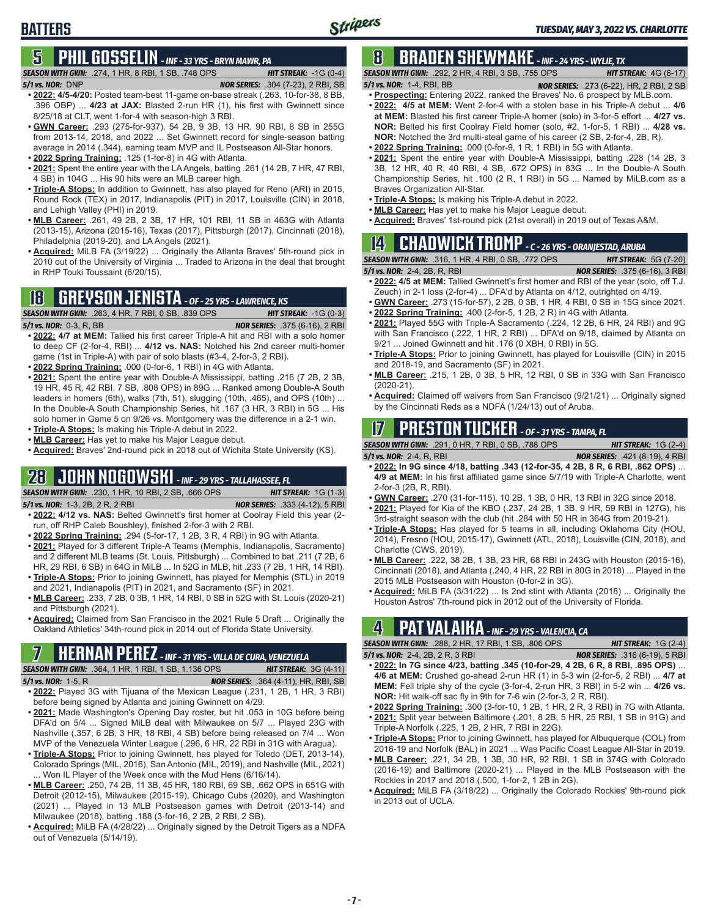## **5 PHIL GOSSELIN** *- INF - 33 YRS - BRYN MAWR, PA*

### *5/1 vs. NOR:*DNP *NOR SERIES:* .304 (7-23), 2 RBI, SB

**BATTERS**

**8 BRADEN SHEWMAKE** *- INF - 24 YRS - WYLIE, TX SEASON WITH GWN:*.274, 1 HR, 8 RBI, 1 SB, .748 OPS *HIT STREAK:* -1G (0-4)

*SEASON WITH GWN:*.292, 2 HR, 4 RBI, 3 SB, .755 OPS *HIT STREAK:* 4G (6-17)

- *5/1 vs. NOR:*1-4, RBI, BB *NOR SERIES:* .273 (6-22), HR, 2 RBI, 2 SB
- **• Prospecting:** Entering 2022, ranked the Braves' No. 6 prospect by MLB.com. **• 2022: 4/5 at MEM:** Went 2-for-4 with a stolen base in his Triple-A debut ... **4/6 at MEM:** Blasted his first career Triple-A homer (solo) in 3-for-5 effort ... **4/27 vs. NOR:** Belted his first Coolray Field homer (solo, #2, 1-for-5, 1 RBI) ... **4/28 vs. • 2022: 4/5-4/20:** Posted team-best 11-game on-base streak (.263, 10-for-38, 8 BB, .396 OBP) ... **4/23 at JAX:** Blasted 2-run HR (1), his first with Gwinnett since
	- **NOR:** Notched the 3rd multi-steal game of his career (2 SB, 2-for-4, 2B, R). **• 2022 Spring Training:** .000 (0-for-9, 1 R, 1 RBI) in 5G with Atlanta.
		- **• 2021:** Spent the entire year with Double-A Mississippi, batting .228 (14 2B, 3 3B, 12 HR, 40 R, 40 RBI, 4 SB, .672 OPS) in 83G ... In the Double-A South Championship Series, hit .100 (2 R, 1 RBI) in 5G ... Named by MiLB.com as a
		- Braves Organization All-Star.
		- **• Triple-A Stops:** Is making his Triple-A debut in 2022.
		- **• MLB Career:** Has yet to make his Major League debut. **• Acquired:** Braves' 1st-round pick (21st overall) in 2019 out of Texas A&M.

## **14 CHADWICK TROMP** *- C - 26 YRS - ORANJESTAD, ARUBA*

*SEASON WITH GWN:*.316, 1 HR, 4 RBI, 0 SB, .772 OPS *HIT STREAK:* 5G (7-20)

*5/1 vs. NOR:*2-4, 2B, R, RBI *NOR SERIES:* .375 (6-16), 3 RBI

- **• 2022: 4/5 at MEM:** Tallied Gwinnett's first homer and RBI of the year (solo, off T.J. Zeuch) in 2-1 loss (2-for-4) ... DFA'd by Atlanta on 4/12, outrighted on 4/19.
- **• GWN Career:** .273 (15-for-57), 2 2B, 0 3B, 1 HR, 4 RBI, 0 SB in 15G since 2021.
- **• 2022 Spring Training:** .400 (2-for-5, 1 2B, 2 R) in 4G with Atlanta. **• 2021:** Played 55G with Triple-A Sacramento (.224, 12 2B, 6 HR, 24 RBI) and 9G with San Francisco (.222, 1 HR, 2 RBI) ... DFA'd on 9/18, claimed by Atlanta on 9/21 ... Joined Gwinnett and hit .176 (0 XBH, 0 RBI) in 5G.
- **• Triple-A Stops:** Prior to joining Gwinnett, has played for Louisville (CIN) in 2015 and 2018-19, and Sacramento (SF) in 2021.
- **• MLB Career:** .215, 1 2B, 0 3B, 5 HR, 12 RBI, 0 SB in 33G with San Francisco (2020-21).
- **• Acquired:** Claimed off waivers from San Francisco (9/21/21) ... Originally signed by the Cincinnati Reds as a NDFA (1/24/13) out of Aruba.

## **17 PRESTON TUCKER** *- OF - 31 YRS - TAMPA, FL*

*SEASON WITH GWN:*.291, 0 HR, 7 RBI, 0 SB, .788 OPS *HIT STREAK:* 1G (2-4)

- *5/1 vs. NOR:*2-4, R, RBI *NOR SERIES:* .421 (8-19), 4 RBI **• 2022: In 9G since 4/18, batting .343 (12-for-35, 4 2B, 8 R, 6 RBI, .862 OPS)** ... **4/9 at MEM:** In his first affiliated game since 5/7/19 with Triple-A Charlotte, went 2-for-3 (2B, R, RBI).
- **• GWN Career:** .270 (31-for-115), 10 2B, 1 3B, 0 HR, 13 RBI in 32G since 2018.
- **• 2021:** Played for Kia of the KBO (.237, 24 2B, 1 3B, 9 HR, 59 RBI in 127G), his 3rd-straight season with the club (hit .284 with 50 HR in 364G from 2019-21).
- **• Triple-A Stops:** Has played for 5 teams in all, including Oklahoma City (HOU, 2014), Fresno (HOU, 2015-17), Gwinnett (ATL, 2018), Louisville (CIN, 2018), and Charlotte (CWS, 2019).
- **• MLB Career:** .222, 38 2B, 1 3B, 23 HR, 68 RBI in 243G with Houston (2015-16), Cincinnati (2018), and Atlanta (.240, 4 HR, 22 RBI in 80G in 2018) ... Played in the 2015 MLB Postseason with Houston (0-for-2 in 3G).
- **• Acquired:** MiLB FA (3/31/22) ... Is 2nd stint with Atlanta (2018) ... Originally the Houston Astros' 7th-round pick in 2012 out of the University of Florida.

## **4 PAT VALAIKA** *- INF - 29 YRS - VALENCIA, CA*

*SEASON WITH GWN:*.288, 2 HR, 17 RBI, 1 SB, .806 OPS *HIT STREAK:* 1G (2-4)

*5/1 vs. NOR:*2-4, 2B, 2 R, 3 RBI *NOR SERIES:* .316 (6-19), 5 RBI

- **• 2022: In 7G since 4/23, batting .345 (10-for-29, 4 2B, 6 R, 8 RBI, .895 OPS)** ... **4/6 at MEM:** Crushed go-ahead 2-run HR (1) in 5-3 win (2-for-5, 2 RBI) ... **4/7 at MEM:** Fell triple shy of the cycle (3-for-4, 2-run HR, 3 RBI) in 5-2 win ... **4/26 vs. NOR:** Hit walk-off sac fly in 9th for 7-6 win (2-for-3, 2 R, RBI).
- **• 2022 Spring Training:** .300 (3-for-10, 1 2B, 1 HR, 2 R, 3 RBI) in 7G with Atlanta.
- **• 2021:** Split year between Baltimore (.201, 8 2B, 5 HR, 25 RBI, 1 SB in 91G) and Triple-A Norfolk (.225, 1 2B, 2 HR, 7 RBI in 22G).
- **• Triple-A Stops:** Prior to joining Gwinnett, has played for Albuquerque (COL) from 2016-19 and Norfolk (BAL) in 2021 ... Was Pacific Coast League All-Star in 2019.
- **• MLB Career:** .221, 34 2B, 1 3B, 30 HR, 92 RBI, 1 SB in 374G with Colorado (2016-19) and Baltimore (2020-21) ... Played in the MLB Postseason with the Rockies in 2017 and 2018 (.500, 1-for-2, 1 2B in 2G).
- **• Acquired:** MiLB FA (3/18/22) ... Originally the Colorado Rockies' 9th-round pick in 2013 out of UCLA.

8/25/18 at CLT, went 1-for-4 with season-high 3 RBI. **• GWN Career:** .293 (275-for-937), 54 2B, 9 3B, 13 HR, 90 RBI, 8 SB in 255G from 2013-14, 2018, and 2022 ... Set Gwinnett record for single-season batting average in 2014 (.344), earning team MVP and IL Postseason All-Star honors. **• 2022 Spring Training:** .125 (1-for-8) in 4G with Atlanta.

- **• 2021:** Spent the entire year with the LA Angels, batting .261 (14 2B, 7 HR, 47 RBI, 4 SB) in 104G ... His 90 hits were an MLB career high.
- **• Triple-A Stops:** In addition to Gwinnett, has also played for Reno (ARI) in 2015, Round Rock (TEX) in 2017, Indianapolis (PIT) in 2017, Louisville (CIN) in 2018, and Lehigh Valley (PHI) in 2019.
- **• MLB Career:** .261, 49 2B, 2 3B, 17 HR, 101 RBI, 11 SB in 463G with Atlanta (2013-15), Arizona (2015-16), Texas (2017), Pittsburgh (2017), Cincinnati (2018), Philadelphia (2019-20), and LA Angels (2021).
- **• Acquired:** MiLB FA (3/19/22) ... Originally the Atlanta Braves' 5th-round pick in 2010 out of the University of Virginia ... Traded to Arizona in the deal that brought in RHP Touki Toussaint (6/20/15).

## **18 GREYSON JENISTA** *- OF - 25 YRS - LAWRENCE, KS*

*SEASON WITH GWN:*.263, 4 HR, 7 RBI, 0 SB, .839 OPS *HIT STREAK:* -1G (0-3)

- *5/1 vs. NOR:*0-3, R, BB *NOR SERIES:* .375 (6-16), 2 RBI **• 2022: 4/7 at MEM:** Tallied his first career Triple-A hit and RBI with a solo homer to deep CF (2-for-4, RBI) ... **4/12 vs. NAS:** Notched his 2nd career multi-homer game (1st in Triple-A) with pair of solo blasts (#3-4, 2-for-3, 2 RBI).
- **• 2022 Spring Training:** .000 (0-for-6, 1 RBI) in 4G with Atlanta.
- **• 2021:** Spent the entire year with Double-A Mississippi, batting .216 (7 2B, 2 3B, 19 HR, 45 R, 42 RBI, 7 SB, .808 OPS) in 89G ... Ranked among Double-A South leaders in homers (6th), walks (7th, 51), slugging (10th, .465), and OPS (10th) ... In the Double-A South Championship Series, hit .167 (3 HR, 3 RBI) in 5G ... His solo homer in Game 5 on 9/26 vs. Montgomery was the difference in a 2-1 win.
- **• Triple-A Stops:** Is making his Triple-A debut in 2022.
- **• MLB Career:** Has yet to make his Major League debut.
- **• Acquired:** Braves' 2nd-round pick in 2018 out of Wichita State University (KS).

### **28 JOHN NOGOWSKI** *- INF - 29 YRS - TALLAHASSEE, FL SEASON WITH GWN:*.230, 1 HR, 10 RBI, 2 SB, .666 OPS *HIT STREAK:* 1G (1-3)

*5/1 vs. NOR:*1-3, 2B, 2 R, 2 RBI *NOR SERIES:* .333 (4-12), 5 RBI **• 2022: 4/12 vs. NAS:** Belted Gwinnett's first homer at Coolray Field this year (2 run, off RHP Caleb Boushley), finished 2-for-3 with 2 RBI.

- **• 2022 Spring Training:** .294 (5-for-17, 1 2B, 3 R, 4 RBI) in 9G with Atlanta.
- **• 2021:** Played for 3 different Triple-A Teams (Memphis, Indianapolis, Sacramento) and 2 different MLB teams (St. Louis, Pittsburgh) ... Combined to bat .211 (7 2B, 6 HR, 29 RBI, 6 SB) in 64G in MiLB ... In 52G in MLB, hit .233 (7 2B, 1 HR, 14 RBI).
- **• Triple-A Stops:** Prior to joining Gwinnett, has played for Memphis (STL) in 2019 and 2021, Indianapolis (PIT) in 2021, and Sacramento (SF) in 2021.
- **• MLB Career:** .233, 7 2B, 0 3B, 1 HR, 14 RBI, 0 SB in 52G with St. Louis (2020-21) and Pittsburgh (2021).
- **• Acquired:** Claimed from San Francisco in the 2021 Rule 5 Draft ... Originally the Oakland Athletics' 34th-round pick in 2014 out of Florida State University.

## **7 HERNAN PEREZ** *- INF - 31 YRS - VILLA DE CURA, VENEZUELA*

*SEASON WITH GWN:*.364, 1 HR, 1 RBI, 1 SB, 1.136 OPS *HIT STREAK:* 3G (4-11) *5/1 vs. NOR:*1-5, R *NOR SERIES:* .364 (4-11), HR, RBI, SB

- **• 2022:** Played 3G with Tijuana of the Mexican League (.231, 1 2B, 1 HR, 3 RBI) before being signed by Atlanta and joining Gwinnett on 4/29.
- **• 2021:** Made Washington's Opening Day roster, but hit .053 in 10G before being DFA'd on 5/4 ... Signed MiLB deal with Milwaukee on 5/7 ... Played 23G with Nashville (.357, 6 2B, 3 HR, 18 RBI, 4 SB) before being released on 7/4 ... Won MVP of the Venezuela Winter League (.296, 6 HR, 22 RBI in 31G with Aragua).
- **• Triple-A Stops:** Prior to joining Gwinnett, has played for Toledo (DET, 2013-14), Colorado Springs (MIL, 2016), San Antonio (MIL, 2019), and Nashville (MIL, 2021) Won IL Player of the Week once with the Mud Hens (6/16/14).
- **• MLB Career:** .250, 74 2B, 11 3B, 45 HR, 180 RBI, 69 SB, .662 OPS in 651G with Detroit (2012-15), Milwaukee (2015-19), Chicago Cubs (2020), and Washington (2021) ... Played in 13 MLB Postseason games with Detroit (2013-14) and Milwaukee (2018), batting .188 (3-for-16, 2 2B, 2 RBI, 2 SB).
- **• Acquired:** MiLB FA (4/28/22) ... Originally signed by the Detroit Tigers as a NDFA out of Venezuela (5/14/19).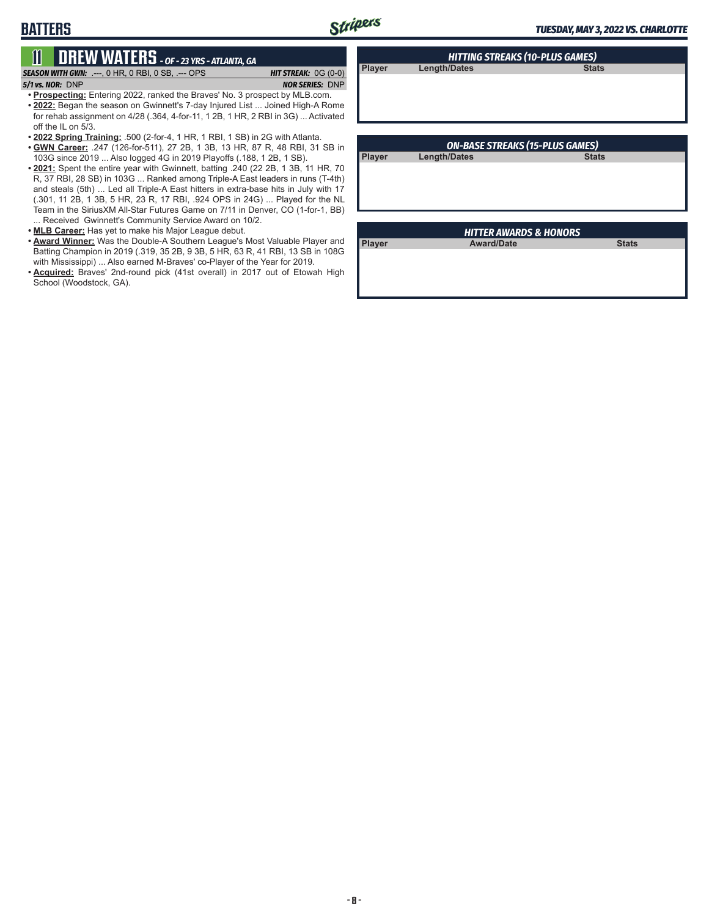**Player Length/Dates** 

### **11 DREW WATERS** *- OF - 23 YRS - ATLANTA, GA SEASON WITH GWN:*.---, 0 HR, 0 RBI, 0 SB, .--- OPS *HIT STREAK:* 0G (0-0)

#### *5/1 vs. NOR:*DNP *NOR SERIES:* DNP

**BATTERS**

- **• Prospecting:** Entering 2022, ranked the Braves' No. 3 prospect by MLB.com. **• 2022:** Began the season on Gwinnett's 7-day Injured List ... Joined High-A Rome for rehab assignment on 4/28 (.364, 4-for-11, 1 2B, 1 HR, 2 RBI in 3G) ... Activated off the IL on 5/3.
- **• 2022 Spring Training:** .500 (2-for-4, 1 HR, 1 RBI, 1 SB) in 2G with Atlanta.
- **• GWN Career:** .247 (126-for-511), 27 2B, 1 3B, 13 HR, 87 R, 48 RBI, 31 SB in 103G since 2019 ... Also logged 4G in 2019 Playoffs (.188, 1 2B, 1 SB).
- **• 2021:** Spent the entire year with Gwinnett, batting .240 (22 2B, 1 3B, 11 HR, 70 R, 37 RBI, 28 SB) in 103G ... Ranked among Triple-A East leaders in runs (T-4th) and steals (5th) ... Led all Triple-A East hitters in extra-base hits in July with 17 (.301, 11 2B, 1 3B, 5 HR, 23 R, 17 RBI, .924 OPS in 24G) ... Played for the NL Team in the SiriusXM All-Star Futures Game on 7/11 in Denver, CO (1-for-1, BB) ... Received Gwinnett's Community Service Award on 10/2.
- **• MLB Career:** Has yet to make his Major League debut.
- **• Award Winner:** Was the Double-A Southern League's Most Valuable Player and Batting Champion in 2019 (.319, 35 2B, 9 3B, 5 HR, 63 R, 41 RBI, 13 SB in 108G with Mississippi) ... Also earned M-Braves' co-Player of the Year for 2019.
- **• Acquired:** Braves' 2nd-round pick (41st overall) in 2017 out of Etowah High School (Woodstock, GA).

|               | <b>ON-BASE STREAKS (15-PLUS GAMES)</b> |              |
|---------------|----------------------------------------|--------------|
| <b>Player</b> | <b>Length/Dates</b>                    | <b>Stats</b> |
|               |                                        |              |
|               |                                        |              |
|               |                                        |              |
|               |                                        |              |

*HITTING STREAKS (10-PLUS GAMES)*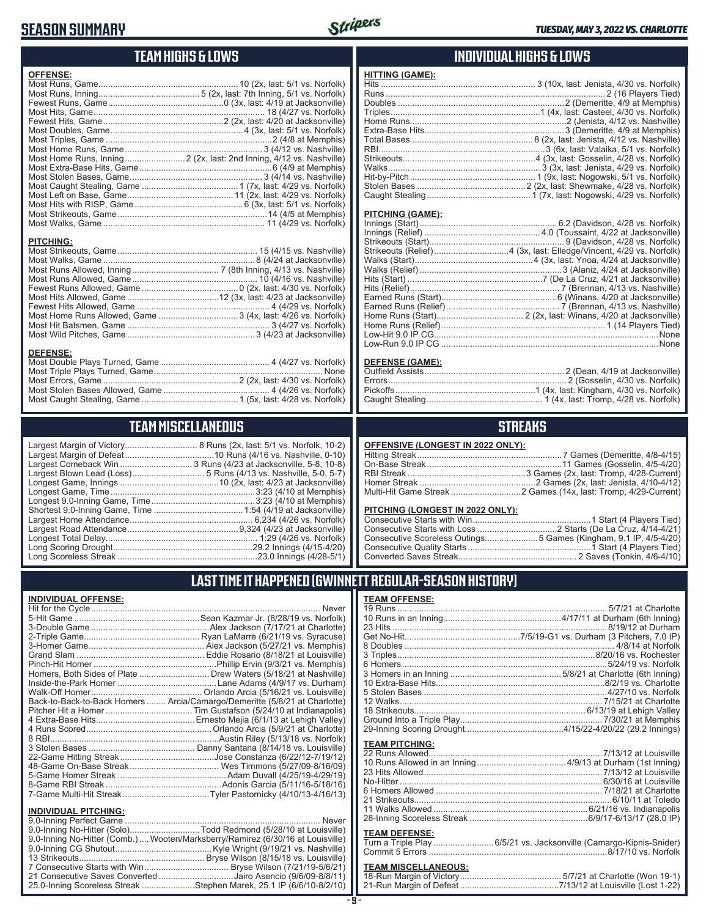## **SEASON SUMMARY**



### **TEAM HIGHS & LOWS**

| <b>OFFENSE:</b> |  |
|-----------------|--|
|                 |  |
|                 |  |
|                 |  |
|                 |  |
|                 |  |
|                 |  |
|                 |  |
|                 |  |
|                 |  |
|                 |  |
|                 |  |
|                 |  |
|                 |  |
|                 |  |
|                 |  |
|                 |  |
|                 |  |

#### **PITCHING:**

#### **DEFENSE:**

## **TEAM MISCELLANEOUS**

| Largest Comeback Win  3 Runs (4/23 at Jacksonville, 5-8, 10-8) |
|----------------------------------------------------------------|
|                                                                |
|                                                                |
|                                                                |
|                                                                |
|                                                                |
|                                                                |
|                                                                |
|                                                                |
|                                                                |
|                                                                |

x, last: 5/1 vs. Norfolk, 10-2)  $ns(4/16 vs. Nashville, 0-10)$  $23$  at Jacksonville, 5-8, 10-8) (4/13 vs. Nashville, 5-0, 5-7 $\hat{ }$  $\stackrel{\sim}{\rm k}$ x, last: 4/23 at Jacksonville $\stackrel{\sim}{\rm k}$ ...<sup>.</sup>.....3:23 (4/10 at Memphis) . 6,234 (4/26 vs. Norfolk $\rangle$  $2.9,324$  (4/2 $\dot{3}$  at Jacksonville) .......... 1:29 (4/26 vs. Norfolk)

### **INDIVIDUAL HIGHS & LOWS**

#### **PITCHING (GAME):**

#### **DEFENSE (GAME):**

### **STREAKS**

| OFFENSIVE (LONGEST IN 2022 ONLY): |  |
|-----------------------------------|--|
|-----------------------------------|--|

#### **PITCHING (LONGEST IN 2022 ONLY):**

| Consecutive Scoreless Outings5 Games (Kingham, 9.1 IP, 4/5-4/20) |
|------------------------------------------------------------------|
|                                                                  |
|                                                                  |

### **LAST TIME IT HAPPENED (GWINNETT REGULAR-SEASON HISTORY)**

#### **INDIVIDUAL OFFENSE:**

|                                                        | Homers, Both Sides of Plate  Drew Waters (5/18/21 at Nashville)            |
|--------------------------------------------------------|----------------------------------------------------------------------------|
|                                                        |                                                                            |
|                                                        |                                                                            |
|                                                        | Back-to-Back-to-Back Homers  Arcia/Camargo/Demeritte (5/8/21 at Charlotte) |
|                                                        |                                                                            |
|                                                        |                                                                            |
|                                                        |                                                                            |
|                                                        |                                                                            |
|                                                        |                                                                            |
|                                                        |                                                                            |
|                                                        |                                                                            |
|                                                        |                                                                            |
|                                                        |                                                                            |
|                                                        | 7-Game Multi-Hit Streak…Tyler Pastornicky (4/10/13-4/16/13)                |
|                                                        |                                                                            |
| <b>INDIVIDUAL PITCHING:</b><br>0.0 Inning Dorfoot Camp | Nover                                                                      |
|                                                        |                                                                            |

| <b>INDIVIDUAL FII UNING.</b>                                                   |  |
|--------------------------------------------------------------------------------|--|
|                                                                                |  |
| 9.0-Inning No-Hitter (Solo)Todd Redmond (5/28/10 at Louisville)                |  |
| 9.0-Inning No-Hitter (Comb.) Wooten/Marksberry/Ramirez (6/30/16 at Louisville) |  |
|                                                                                |  |
|                                                                                |  |
|                                                                                |  |
| 21 Consecutive Saves Converted Jairo Asencio (9/6/09-8/8/11)                   |  |
| 25.0-Inning Scoreless Streak Stephen Marek, 25.1 IP (6/6/10-8/2/10)            |  |
|                                                                                |  |

#### **TEAM OFFENSE:**

| <b>TEAM PITCHING:</b> |                                                                   |
|-----------------------|-------------------------------------------------------------------|
|                       |                                                                   |
|                       |                                                                   |
|                       |                                                                   |
|                       |                                                                   |
|                       |                                                                   |
|                       |                                                                   |
|                       |                                                                   |
|                       |                                                                   |
| <b>TEAM DEFENSE:</b>  |                                                                   |
|                       | Turn a Triple Play6/5/21 vs. Jacksonville (Camargo-Kipnis-Snider) |
|                       |                                                                   |